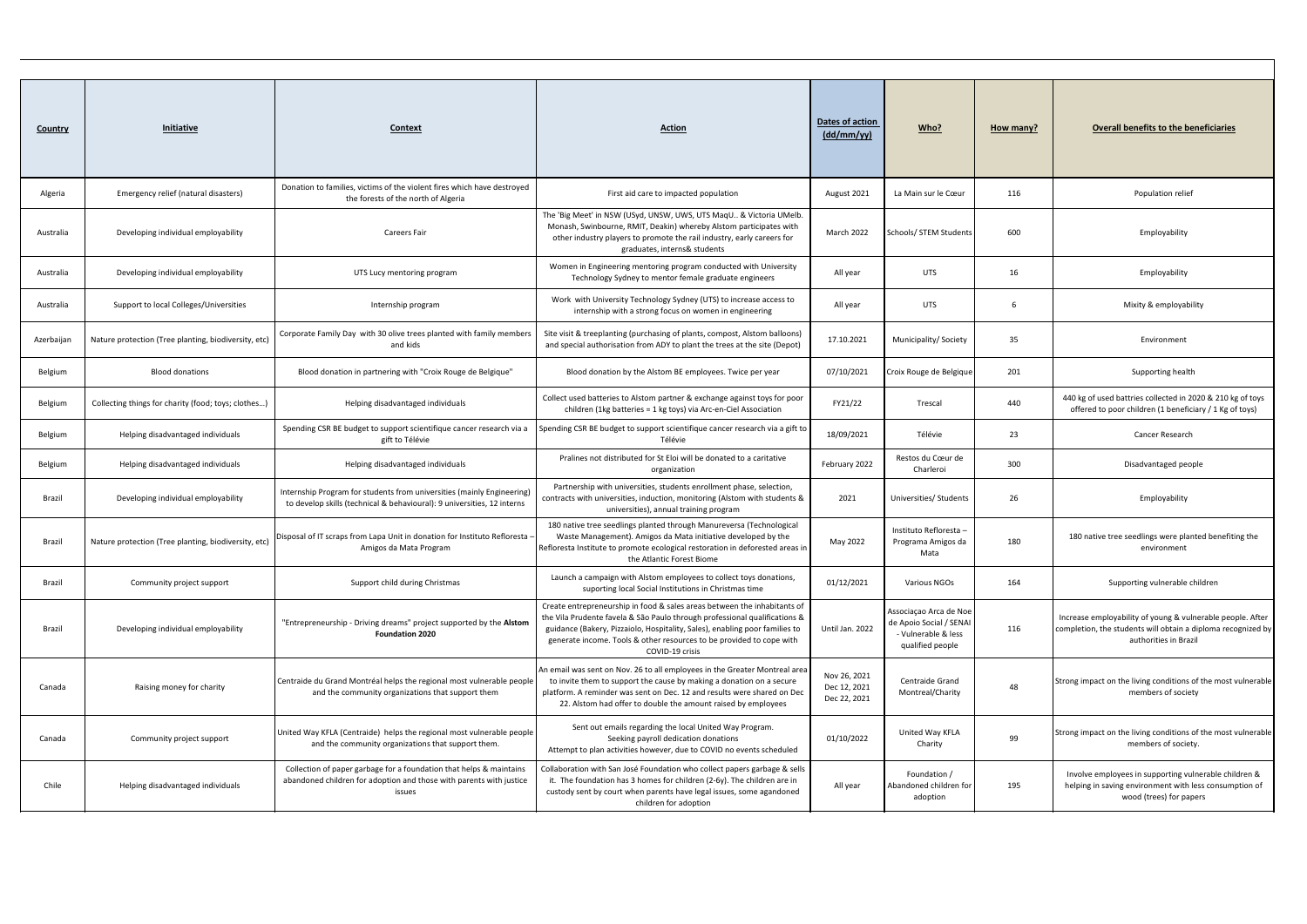| <b>Country</b> | <b>Initiative</b>                                    | <b>Context</b>                                                                                                                                       | <b>Action</b>                                                                                                                                                                                                                                                                                                                    | Dates of action<br>$\frac{dd/mm / \gamma y}{ }$ | Who?                                                                                         | How many? | <b>Overall benefits to the beneficiaries</b>                                                                                                        |
|----------------|------------------------------------------------------|------------------------------------------------------------------------------------------------------------------------------------------------------|----------------------------------------------------------------------------------------------------------------------------------------------------------------------------------------------------------------------------------------------------------------------------------------------------------------------------------|-------------------------------------------------|----------------------------------------------------------------------------------------------|-----------|-----------------------------------------------------------------------------------------------------------------------------------------------------|
| Algeria        | Emergency relief (natural disasters)                 | Donation to families, victims of the violent fires which have destroyed<br>the forests of the north of Algeria                                       | First aid care to impacted population                                                                                                                                                                                                                                                                                            | August 2021                                     | La Main sur le Cœur                                                                          | 116       | Population relief                                                                                                                                   |
| Australia      | Developing individual employability                  | <b>Careers Fair</b>                                                                                                                                  | The 'Big Meet' in NSW (USyd, UNSW, UWS, UTS MaqU & Victoria UMelb<br>Monash, Swinbourne, RMIT, Deakin) whereby Alstom participates with<br>other industry players to promote the rail industry, early careers for<br>graduates, interns& students                                                                                | March 2022                                      | Schools/ STEM Students                                                                       | 600       | Employability                                                                                                                                       |
| Australia      | Developing individual employability                  | UTS Lucy mentoring program                                                                                                                           | Women in Engineering mentoring program conducted with University<br>Technology Sydney to mentor female graduate engineers                                                                                                                                                                                                        | All year                                        | <b>UTS</b>                                                                                   | 16        | Employability                                                                                                                                       |
| Australia      | Support to local Colleges/Universities               | Internship program                                                                                                                                   | Work with University Technology Sydney (UTS) to increase access to<br>internship with a strong focus on women in engineering                                                                                                                                                                                                     | All year                                        | <b>UTS</b>                                                                                   | 6         | Mixity & employability                                                                                                                              |
| Azerbaijan     | Nature protection (Tree planting, biodiversity, etc) | Corporate Family Day with 30 olive trees planted with family members<br>and kids                                                                     | Site visit & treeplanting (purchasing of plants, compost, Alstom balloons)<br>and special authorisation from ADY to plant the trees at the site (Depot)                                                                                                                                                                          | 17.10.2021                                      | Municipality/Society                                                                         | 35        | Environment                                                                                                                                         |
| Belgium        | <b>Blood donations</b>                               | Blood donation in partnering with "Croix Rouge de Belgique"                                                                                          | Blood donation by the Alstom BE employees. Twice per year                                                                                                                                                                                                                                                                        | 07/10/2021                                      | Croix Rouge de Belgique                                                                      | 201       | Supporting health                                                                                                                                   |
| Belgium        | Collecting things for charity (food; toys; clothes)  | Helping disadvantaged individuals                                                                                                                    | Collect used batteries to Alstom partner & exchange against toys for poor<br>children (1kg batteries = 1 kg toys) via Arc-en-Ciel Association                                                                                                                                                                                    | FY21/22                                         | Trescal                                                                                      | 440       | 440 kg of used battries collected in 2020 & 210 kg of toys<br>offered to poor children (1 beneficiary / 1 Kg of toys)                               |
| Belgium        | Helping disadvantaged individuals                    | Spending CSR BE budget to support scientifique cancer research via a<br>gift to Télévie                                                              | Spending CSR BE budget to support scientifique cancer research via a gift to<br>Télévie                                                                                                                                                                                                                                          | 18/09/2021                                      | Télévie                                                                                      | 23        | Cancer Research                                                                                                                                     |
| Belgium        | Helping disadvantaged individuals                    | Helping disadvantaged individuals                                                                                                                    | Pralines not distributed for St Eloi will be donated to a caritative<br>organization                                                                                                                                                                                                                                             | February 2022                                   | Restos du Cœur de<br>Charleroi                                                               | 300       | Disadvantaged people                                                                                                                                |
| Brazil         | Developing individual employability                  | Internship Program for students from universities (mainly Engineering)<br>to develop skills (technical & behavioural): 9 universities, 12 interns    | Partnership with universities, students enrollment phase, selection,<br>contracts with universities, induction, monitoring (Alstom with students &<br>universities), annual training program                                                                                                                                     | 2021                                            | Universities/ Students                                                                       | 26        | Employability                                                                                                                                       |
| Brazil         | Nature protection (Tree planting, biodiversity, etc) | Disposal of IT scraps from Lapa Unit in donation for Instituto Refloresta<br>Amigos da Mata Program                                                  | 180 native tree seedlings planted through Manureversa (Technological<br>Waste Management). Amigos da Mata initiative developed by the<br>Refloresta Institute to promote ecological restoration in deforested areas in<br>the Atlantic Forest Biome                                                                              | May 2022                                        | Instituto Refloresta -<br>Programa Amigos da<br>Mata                                         | 180       | 180 native tree seedlings were planted benefiting the<br>environment                                                                                |
| Brazil         | Community project support                            | Support child during Christmas                                                                                                                       | Launch a campaign with Alstom employees to collect toys donations,<br>suporting local Social Institutions in Christmas time                                                                                                                                                                                                      | 01/12/2021                                      | <b>Various NGOs</b>                                                                          | 164       | Supporting vulnerable children                                                                                                                      |
| Brazil         | Developing individual employability                  | "Entrepreneurship - Driving dreams" project supported by the Alstom<br><b>Foundation 2020</b>                                                        | Create entrepreneurship in food & sales areas between the inhabitants of<br>the Vila Prudente favela & São Paulo through professional qualifications &<br>guidance (Bakery, Pizzaiolo, Hospitality, Sales), enabling poor families to<br>generate income. Tools & other resources to be provided to cope with<br>COVID-19 crisis | Until Jan. 2022                                 | Associação Arca de Noe<br>de Apoio Social / SENAI<br>- Vulnerable & less<br>qualified people | 116       | Increase employability of young & vulnerable people. After<br>completion, the students will obtain a diploma recognized by<br>authorities in Brazil |
| Canada         | Raising money for charity                            | Centraide du Grand Montréal helps the regional most vulnerable people<br>and the community organizations that support them                           | An email was sent on Nov. 26 to all employees in the Greater Montreal area<br>to invite them to support the cause by making a donation on a secure<br>platform. A reminder was sent on Dec. 12 and results were shared on Dec<br>22. Alstom had offer to double the amount raised by employees                                   | Nov 26, 2021<br>Dec 12, 2021<br>Dec 22, 2021    | Centraide Grand<br>Montreal/Charity                                                          | 48        | Strong impact on the living conditions of the most vulnerable<br>members of society                                                                 |
| Canada         | Community project support                            | United Way KFLA (Centraide) helps the regional most vulnerable people<br>and the community organizations that support them.                          | Sent out emails regarding the local United Way Program.<br>Seeking payroll dedication donations<br>Attempt to plan activities however, due to COVID no events scheduled                                                                                                                                                          | 01/10/2022                                      | United Way KFLA<br>Charity                                                                   | 99        | Strong impact on the living conditions of the most vulnerable<br>members of society.                                                                |
| Chile          | Helping disadvantaged individuals                    | Collection of paper garbage for a foundation that helps & maintains<br>abandoned children for adoption and those with parents with justice<br>issues | Collaboration with San José Foundation who collect papers garbage & sells<br>it. The foundation has 3 homes for children (2-6y). The children are in<br>custody sent by court when parents have legal issues, some agandoned<br>children for adoption                                                                            | All year                                        | Foundation /<br>Abandoned children for<br>adoption                                           | 195       | Involve employees in supporting vulnerable children &<br>helping in saving environment with less consumption of<br>wood (trees) for papers          |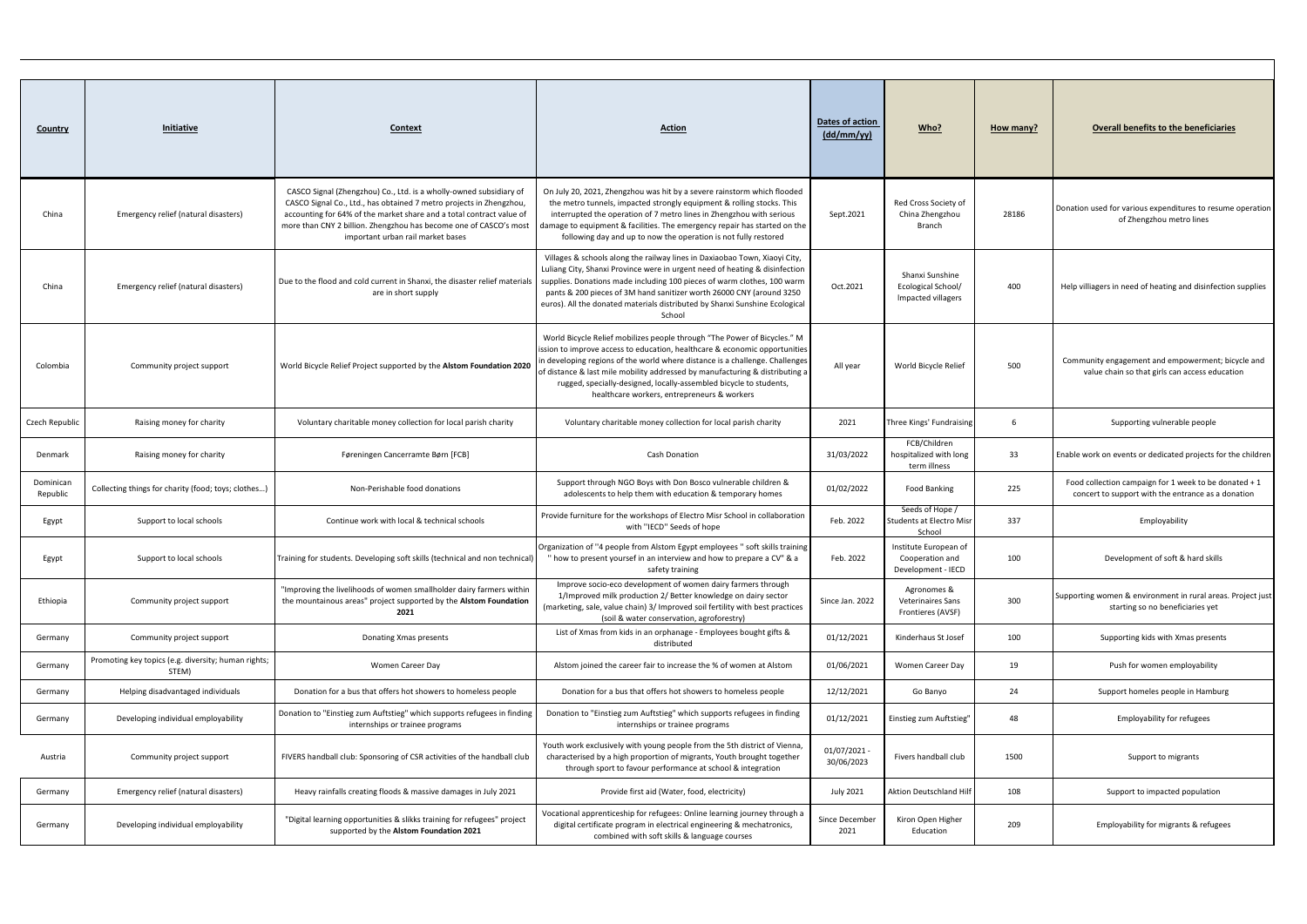| <b>Country</b>        | Initiative                                                   | Context                                                                                                                                                                                                                                                                                                                     | <b>Action</b>                                                                                                                                                                                                                                                                                                                                                                                                                               | Dates of action<br>(dd/mm/yy) | Who?                                                           | <u>How many?</u> | <b>Overall benefits to the beneficiaries</b>                                                                |
|-----------------------|--------------------------------------------------------------|-----------------------------------------------------------------------------------------------------------------------------------------------------------------------------------------------------------------------------------------------------------------------------------------------------------------------------|---------------------------------------------------------------------------------------------------------------------------------------------------------------------------------------------------------------------------------------------------------------------------------------------------------------------------------------------------------------------------------------------------------------------------------------------|-------------------------------|----------------------------------------------------------------|------------------|-------------------------------------------------------------------------------------------------------------|
| China                 | Emergency relief (natural disasters)                         | CASCO Signal (Zhengzhou) Co., Ltd. is a wholly-owned subsidiary of<br>CASCO Signal Co., Ltd., has obtained 7 metro projects in Zhengzhou,<br>accounting for 64% of the market share and a total contract value of<br>more than CNY 2 billion. Zhengzhou has become one of CASCO's most<br>important urban rail market bases | On July 20, 2021, Zhengzhou was hit by a severe rainstorm which flooded<br>the metro tunnels, impacted strongly equipment & rolling stocks. This<br>interrupted the operation of 7 metro lines in Zhengzhou with serious<br>damage to equipment & facilities. The emergency repair has started on the<br>following day and up to now the operation is not fully restored                                                                    | Sept.2021                     | Red Cross Society of<br>China Zhengzhou<br>Branch              | 28186            | Donation used for various expenditures to resume operation<br>of Zhengzhou metro lines                      |
| China                 | Emergency relief (natural disasters)                         | Due to the flood and cold current in Shanxi, the disaster relief materials<br>are in short supply                                                                                                                                                                                                                           | Villages & schools along the railway lines in Daxiaobao Town, Xiaoyi City,<br>Luliang City, Shanxi Province were in urgent need of heating & disinfection<br>supplies. Donations made including 100 pieces of warm clothes, 100 warm<br>pants & 200 pieces of 3M hand sanitizer worth 26000 CNY (around 3250<br>euros). All the donated materials distributed by Shanxi Sunshine Ecological<br>School                                       | Oct.2021                      | Shanxi Sunshine<br>Ecological School/<br>Impacted villagers    | 400              | Help villiagers in need of heating and disinfection supplies                                                |
| Colombia              | Community project support                                    | World Bicycle Relief Project supported by the Alstom Foundation 2020                                                                                                                                                                                                                                                        | World Bicycle Relief mobilizes people through "The Power of Bicycles." M<br>ission to improve access to education, healthcare & economic opportunities<br>in developing regions of the world where distance is a challenge. Challenges<br>of distance & last mile mobility addressed by manufacturing & distributing a<br>rugged, specially-designed, locally-assembled bicycle to students,<br>healthcare workers, entrepreneurs & workers | All year                      | World Bicycle Relief                                           | 500              | Community engagement and empowerment; bicycle and<br>value chain so that girls can access education         |
| Czech Republic        | Raising money for charity                                    | Voluntary charitable money collection for local parish charity                                                                                                                                                                                                                                                              | Voluntary charitable money collection for local parish charity                                                                                                                                                                                                                                                                                                                                                                              | 2021                          | Three Kings' Fundraising                                       | -6               | Supporting vulnerable people                                                                                |
| Denmark               | Raising money for charity                                    | Føreningen Cancerramte Børn [FCB]                                                                                                                                                                                                                                                                                           | <b>Cash Donation</b>                                                                                                                                                                                                                                                                                                                                                                                                                        | 31/03/2022                    | FCB/Children<br>hospitalized with long<br>term illness         | 33               | Enable work on events or dedicated projects for the children                                                |
| Dominican<br>Republic | Collecting things for charity (food; toys; clothes)          | Non-Perishable food donations                                                                                                                                                                                                                                                                                               | Support through NGO Boys with Don Bosco vulnerable children &<br>adolescents to help them with education & temporary homes                                                                                                                                                                                                                                                                                                                  | 01/02/2022                    | <b>Food Banking</b>                                            | 225              | Food collection campaign for 1 week to be donated + 1<br>concert to support with the entrance as a donation |
| Egypt                 | Support to local schools                                     | Continue work with local & technical schools                                                                                                                                                                                                                                                                                | Provide furniture for the workshops of Electro Misr School in collaboration<br>with "IECD" Seeds of hope                                                                                                                                                                                                                                                                                                                                    | Feb. 2022                     | Seeds of Hope /<br>Students at Electro Misr<br>School          | 337              | Employability                                                                                               |
| Egypt                 | Support to local schools                                     | Training for students. Developing soft skills (technical and non technical)                                                                                                                                                                                                                                                 | Organization of "4 people from Alstom Egypt employees" soft skills training<br>how to present yoursef in an interview and how to prepare a CV" & a<br>safety training                                                                                                                                                                                                                                                                       | Feb. 2022                     | Institute European of<br>Cooperation and<br>Development - IECD | 100              | Development of soft & hard skills                                                                           |
| Ethiopia              | Community project support                                    | "Improving the livelihoods of women smallholder dairy farmers within<br>the mountainous areas" project supported by the Alstom Foundation<br>2021                                                                                                                                                                           | Improve socio-eco development of women dairy farmers through<br>1/Improved milk production 2/ Better knowledge on dairy sector<br>(marketing, sale, value chain) 3/ Improved soil fertility with best practices<br>(soil & water conservation, agroforestry)                                                                                                                                                                                | Since Jan. 2022               | Agronomes &<br><b>Veterinaires Sans</b><br>Frontieres (AVSF)   | 300              | Supporting women & environment in rural areas. Project just<br>starting so no beneficiaries yet             |
| Germany               | Community project support                                    | Donating Xmas presents                                                                                                                                                                                                                                                                                                      | List of Xmas from kids in an orphanage - Employees bought gifts &<br>distributed                                                                                                                                                                                                                                                                                                                                                            | 01/12/2021                    | Kinderhaus St Josef                                            | 100              | Supporting kids with Xmas presents                                                                          |
| Germany               | Promoting key topics (e.g. diversity; human rights;<br>STEM) | Women Career Day                                                                                                                                                                                                                                                                                                            | Alstom joined the career fair to increase the % of women at Alstom                                                                                                                                                                                                                                                                                                                                                                          | 01/06/2021                    | Women Career Day                                               | 19               | Push for women employability                                                                                |
| Germany               | Helping disadvantaged individuals                            | Donation for a bus that offers hot showers to homeless people                                                                                                                                                                                                                                                               | Donation for a bus that offers hot showers to homeless people                                                                                                                                                                                                                                                                                                                                                                               | 12/12/2021                    | Go Banyo                                                       | 24               | Support homeles people in Hamburg                                                                           |
| Germany               | Developing individual employability                          | Donation to "Einstieg zum Auftstieg" which supports refugees in finding<br>internships or trainee programs                                                                                                                                                                                                                  | Donation to "Einstieg zum Auftstieg" which supports refugees in finding<br>internships or trainee programs                                                                                                                                                                                                                                                                                                                                  | 01/12/2021                    | Einstieg zum Auftstieg"                                        | 48               | <b>Employability for refugees</b>                                                                           |
| Austria               | Community project support                                    | FIVERS handball club: Sponsoring of CSR activities of the handball club                                                                                                                                                                                                                                                     | Youth work exclusively with young people from the 5th district of Vienna<br>characterised by a high proportion of migrants, Youth brought together<br>through sport to favour performance at school & integration                                                                                                                                                                                                                           | 01/07/2021<br>30/06/2023      | Fivers handball club                                           | 1500             | Support to migrants                                                                                         |
| Germany               | Emergency relief (natural disasters)                         | Heavy rainfalls creating floods & massive damages in July 2021                                                                                                                                                                                                                                                              | Provide first aid (Water, food, electricity)                                                                                                                                                                                                                                                                                                                                                                                                | <b>July 2021</b>              | <b>Aktion Deutschland Hilf</b>                                 | 108              | Support to impacted population                                                                              |
| Germany               | Developing individual employability                          | "Digital learning opportunities & slikks training for refugees" project<br>supported by the Alstom Foundation 2021                                                                                                                                                                                                          | Vocational apprenticeship for refugees: Online learning journey through a<br>digital certificate program in electrical engineering & mechatronics,<br>combined with soft skills & language courses                                                                                                                                                                                                                                          | Since December<br>2021        | Kiron Open Higher<br>Education                                 | 209              | Employability for migrants & refugees                                                                       |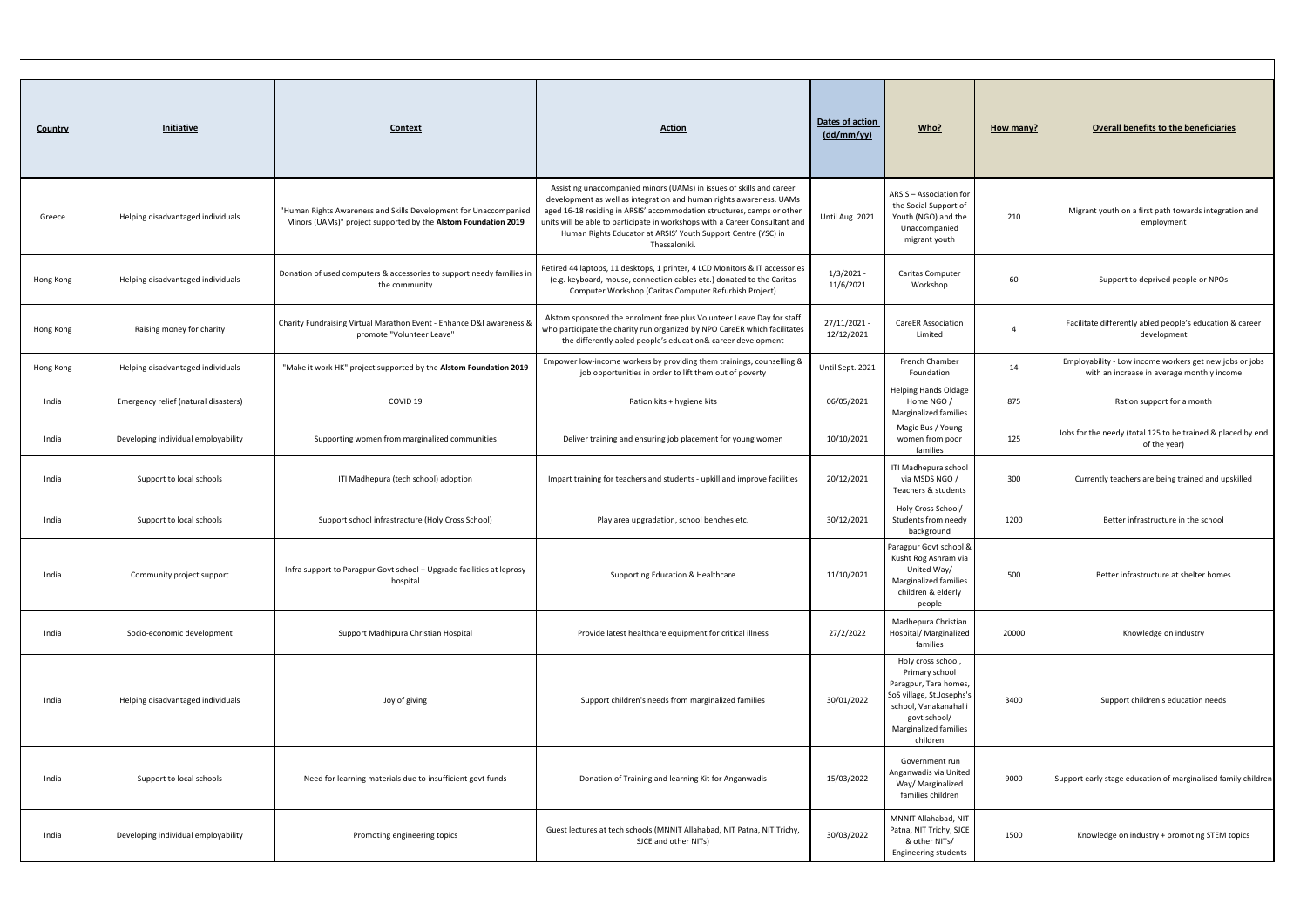| <b>Country</b> | <b>Initiative</b>                    | <b>Context</b>                                                                                                                     | <b>Action</b>                                                                                                                                                                                                                                                                                                                                                                          | Dates of action<br>$\frac{dd/mm / vy}{dy}$ | Who?                                                                                                                                                                     | How many? | <b>Overall benefits to the beneficiaries</b>                                                          |
|----------------|--------------------------------------|------------------------------------------------------------------------------------------------------------------------------------|----------------------------------------------------------------------------------------------------------------------------------------------------------------------------------------------------------------------------------------------------------------------------------------------------------------------------------------------------------------------------------------|--------------------------------------------|--------------------------------------------------------------------------------------------------------------------------------------------------------------------------|-----------|-------------------------------------------------------------------------------------------------------|
| Greece         | Helping disadvantaged individuals    | "Human Rights Awareness and Skills Development for Unaccompanied<br>Minors (UAMs)" project supported by the Alstom Foundation 2019 | Assisting unaccompanied minors (UAMs) in issues of skills and career<br>development as well as integration and human rights awareness. UAMs<br>aged 16-18 residing in ARSIS' accommodation structures, camps or other<br>units will be able to participate in workshops with a Career Consultant and<br>Human Rights Educator at ARSIS' Youth Support Centre (YSC) in<br>Thessaloniki. | Until Aug. 2021                            | ARSIS - Association for<br>the Social Support of<br>Youth (NGO) and the<br>Unaccompanied<br>migrant youth                                                                | 210       | Migrant youth on a first path towards integration and<br>employment                                   |
| Hong Kong      | Helping disadvantaged individuals    | Donation of used computers & accessories to support needy families in<br>the community                                             | Retired 44 laptops, 11 desktops, 1 printer, 4 LCD Monitors & IT accessories<br>(e.g. keyboard, mouse, connection cables etc.) donated to the Caritas<br>Computer Workshop (Caritas Computer Refurbish Project)                                                                                                                                                                         | 1/3/2021<br>11/6/2021                      | Caritas Computer<br>Workshop                                                                                                                                             | 60        | Support to deprived people or NPOs                                                                    |
| Hong Kong      | Raising money for charity            | Charity Fundraising Virtual Marathon Event - Enhance D&I awareness &<br>promote "Volunteer Leave"                                  | Alstom sponsored the enrolment free plus Volunteer Leave Day for staff<br>who participate the charity run organized by NPO CareER which facilitates<br>the differently abled people's education& career development                                                                                                                                                                    | 27/11/2021<br>12/12/2021                   | <b>CareER Association</b><br>Limited                                                                                                                                     | $\Delta$  | Facilitate differently abled people's education & career<br>development                               |
| Hong Kong      | Helping disadvantaged individuals    | "Make it work HK" project supported by the Alstom Foundation 2019                                                                  | Empower low-income workers by providing them trainings, counselling &<br>job opportunities in order to lift them out of poverty                                                                                                                                                                                                                                                        | Until Sept. 2021                           | French Chamber<br>Foundation                                                                                                                                             | 14        | Employability - Low income workers get new jobs or jobs<br>with an increase in average monthly income |
| India          | Emergency relief (natural disasters) | COVID 19                                                                                                                           | Ration kits + hygiene kits                                                                                                                                                                                                                                                                                                                                                             | 06/05/2021                                 | <b>Helping Hands Oldage</b><br>Home NGO /<br>Marginalized families                                                                                                       | 875       | Ration support for a month                                                                            |
| India          | Developing individual employability  | Supporting women from marginalized communities                                                                                     | Deliver training and ensuring job placement for young women                                                                                                                                                                                                                                                                                                                            | 10/10/2021                                 | Magic Bus / Young<br>women from poor<br>families                                                                                                                         | 125       | Jobs for the needy (total 125 to be trained & placed by end<br>of the year)                           |
| India          | Support to local schools             | ITI Madhepura (tech school) adoption                                                                                               | Impart training for teachers and students - upkill and improve facilities                                                                                                                                                                                                                                                                                                              | 20/12/2021                                 | ITI Madhepura school<br>via MSDS NGO /<br>Teachers & students                                                                                                            | 300       | Currently teachers are being trained and upskilled                                                    |
| India          | Support to local schools             | Support school infrastracture (Holy Cross School)                                                                                  | Play area upgradation, school benches etc.                                                                                                                                                                                                                                                                                                                                             | 30/12/2021                                 | Holy Cross School/<br>Students from needy<br>background                                                                                                                  | 1200      | Better infrastructure in the school                                                                   |
| India          | Community project support            | Infra support to Paragpur Govt school + Upgrade facilities at leprosy<br>hospital                                                  | Supporting Education & Healthcare                                                                                                                                                                                                                                                                                                                                                      | 11/10/2021                                 | Paragpur Govt school &<br>Kusht Rog Ashram via<br>United Way/<br>Marginalized families<br>children & elderly<br>people                                                   | 500       | Better infrastructure at shelter homes                                                                |
| India          | Socio-economic development           | Support Madhipura Christian Hospital                                                                                               | Provide latest healthcare equipment for critical illness                                                                                                                                                                                                                                                                                                                               | 27/2/2022                                  | Madhepura Christian<br>Hospital/ Marginalized<br>families                                                                                                                | 20000     | Knowledge on industry                                                                                 |
| India          | Helping disadvantaged individuals    | Joy of giving                                                                                                                      | Support children's needs from marginalized families                                                                                                                                                                                                                                                                                                                                    | 30/01/2022                                 | Holy cross school,<br>Primary school<br>Paragpur, Tara homes,<br>SoS village, St.Josephs's<br>school, Vanakanahalli<br>govt school/<br>Marginalized families<br>children | 3400      | Support children's education needs                                                                    |
| India          | Support to local schools             | Need for learning materials due to insufficient govt funds                                                                         | Donation of Training and learning Kit for Anganwadis                                                                                                                                                                                                                                                                                                                                   | 15/03/2022                                 | Government run<br>Anganwadis via United<br>Way/ Marginalized<br>families children                                                                                        | 9000      | Support early stage education of marginalised family children                                         |
| India          | Developing individual employability  | Promoting engineering topics                                                                                                       | Guest lectures at tech schools (MNNIT Allahabad, NIT Patna, NIT Trichy,<br>SJCE and other NITs)                                                                                                                                                                                                                                                                                        | 30/03/2022                                 | MNNIT Allahabad, NIT<br>Patna, NIT Trichy, SJCE<br>& other NITs/<br><b>Engineering students</b>                                                                          | 1500      | Knowledge on industry + promoting STEM topics                                                         |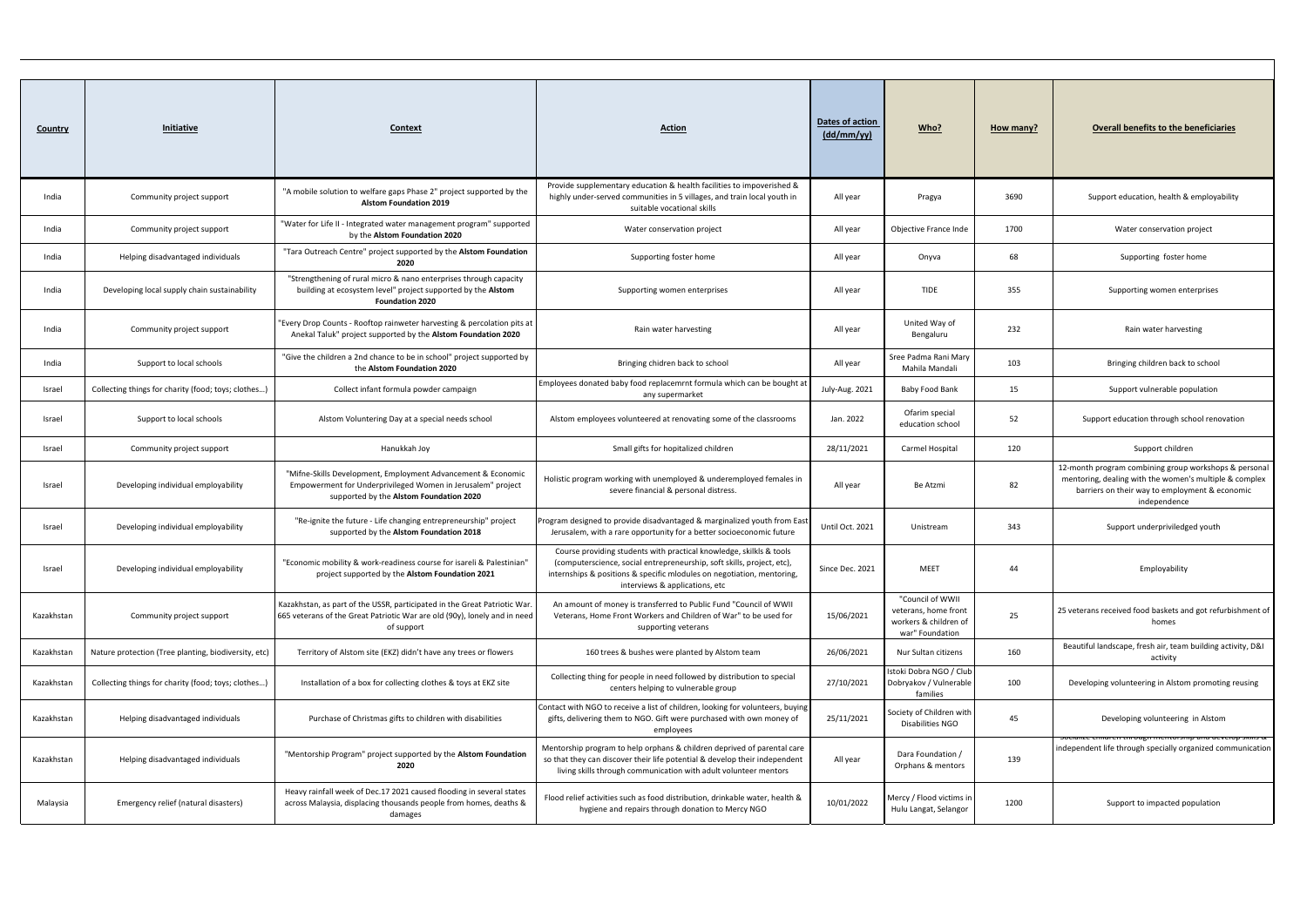| Country    | Initiative                                           | Context                                                                                                                                                                | <b>Action</b>                                                                                                                                                                                                                                             | Dates of action<br>$\frac{dd/mm / vy}{dy}$ | Who?                                                                                 | How many? | <b>Overall benefits to the beneficiaries</b>                                                                                                                                      |
|------------|------------------------------------------------------|------------------------------------------------------------------------------------------------------------------------------------------------------------------------|-----------------------------------------------------------------------------------------------------------------------------------------------------------------------------------------------------------------------------------------------------------|--------------------------------------------|--------------------------------------------------------------------------------------|-----------|-----------------------------------------------------------------------------------------------------------------------------------------------------------------------------------|
| India      | Community project support                            | "A mobile solution to welfare gaps Phase 2" project supported by the<br><b>Alstom Foundation 2019</b>                                                                  | Provide supplementary education & health facilities to impoverished &<br>highly under-served communities in 5 villages, and train local youth in<br>suitable vocational skills                                                                            | All year                                   | Pragya                                                                               | 3690      | Support education, health & employability                                                                                                                                         |
| India      | Community project support                            | "Water for Life II - Integrated water management program" supported<br>by the Alstom Foundation 2020                                                                   | Water conservation project                                                                                                                                                                                                                                | All year                                   | Objective France Inde                                                                | 1700      | Water conservation project                                                                                                                                                        |
| India      | Helping disadvantaged individuals                    | "Tara Outreach Centre" project supported by the Alstom Foundation<br>2020                                                                                              | Supporting foster home                                                                                                                                                                                                                                    | All year                                   | Onyva                                                                                | 68        | Supporting foster home                                                                                                                                                            |
| India      | Developing local supply chain sustainability         | "Strengthening of rural micro & nano enterprises through capacity<br>building at ecosystem level" project supported by the Alstom<br><b>Foundation 2020</b>            | Supporting women enterprises                                                                                                                                                                                                                              | All year                                   | <b>TIDE</b>                                                                          | 355       | Supporting women enterprises                                                                                                                                                      |
| India      | Community project support                            | 'Every Drop Counts - Rooftop rainweter harvesting & percolation pits at<br>Anekal Taluk" project supported by the Alstom Foundation 2020                               | Rain water harvesting                                                                                                                                                                                                                                     | All year                                   | United Way of<br>Bengaluru                                                           | 232       | Rain water harvesting                                                                                                                                                             |
| India      | Support to local schools                             | "Give the children a 2nd chance to be in school" project supported by<br>the Alstom Foundation 2020                                                                    | Bringing chidren back to school                                                                                                                                                                                                                           | All year                                   | Sree Padma Rani Mary<br>Mahila Mandali                                               | 103       | Bringing children back to school                                                                                                                                                  |
| Israel     | Collecting things for charity (food; toys; clothes)  | Collect infant formula powder campaign                                                                                                                                 | Employees donated baby food replacemrnt formula which can be bought at<br>any supermarket                                                                                                                                                                 | July-Aug. 2021                             | Baby Food Bank                                                                       | 15        | Support vulnerable population                                                                                                                                                     |
| Israel     | Support to local schools                             | Alstom Voluntering Day at a special needs school                                                                                                                       | Alstom employees volunteered at renovating some of the classrooms                                                                                                                                                                                         | Jan. 2022                                  | Ofarim special<br>education school                                                   | 52        | Support education through school renovation                                                                                                                                       |
| Israel     | Community project support                            | Hanukkah Joy                                                                                                                                                           | Small gifts for hopitalized children                                                                                                                                                                                                                      | 28/11/2021                                 | Carmel Hospital                                                                      | 120       | Support children                                                                                                                                                                  |
| Israel     | Developing individual employability                  | "Mifne-Skills Development, Employment Advancement & Economic<br>Empowerment for Underprivileged Women in Jerusalem" project<br>supported by the Alstom Foundation 2020 | Holistic program working with unemployed & underemployed females in<br>severe financial & personal distress.                                                                                                                                              | All year                                   | Be Atzmi                                                                             | 82        | 12-month program combining group workshops & personal<br>mentoring, dealing with the women's multiple & complex<br>barriers on their way to employment & economic<br>independence |
| Israel     | Developing individual employability                  | "Re-ignite the future - Life changing entrepreneurship" project<br>supported by the Alstom Foundation 2018                                                             | Program designed to provide disadvantaged & marginalized youth from East<br>Jerusalem, with a rare opportunity for a better socioeconomic future                                                                                                          | Until Oct. 2021                            | Unistream                                                                            | 343       | Support underpriviledged youth                                                                                                                                                    |
| Israel     | Developing individual employability                  | "Economic mobility & work-readiness course for isareli & Palestinian"<br>project supported by the Alstom Foundation 2021                                               | Course providing students with practical knowledge, skilkls & tools<br>(computerscience, social entrepreneurship, soft skills, project, etc),<br>internships & positions & specific mlodules on negotiation, mentoring,<br>interviews & applications, etc | Since Dec. 2021                            | MEET                                                                                 | 44        | Employability                                                                                                                                                                     |
| Kazakhstan | Community project support                            | Kazakhstan, as part of the USSR, participated in the Great Patriotic War.<br>665 veterans of the Great Patriotic War are old (90y), lonely and in need<br>of support   | An amount of money is transferred to Public Fund "Council of WWII<br>Veterans, Home Front Workers and Children of War" to be used for<br>supporting veterans                                                                                              | 15/06/2021                                 | "Council of WWII<br>veterans, home front<br>workers & children of<br>war" Foundation | 25        | 25 veterans received food baskets and got refurbishment of<br>homes                                                                                                               |
| Kazakhstan | Nature protection (Tree planting, biodiversity, etc) | Territory of Alstom site (EKZ) didn't have any trees or flowers                                                                                                        | 160 trees & bushes were planted by Alstom team                                                                                                                                                                                                            | 26/06/2021                                 | Nur Sultan citizens                                                                  | 160       | Beautiful landscape, fresh air, team building activity, D&I<br>activity                                                                                                           |
| Kazakhstan | Collecting things for charity (food; toys; clothes)  | Installation of a box for collecting clothes & toys at EKZ site                                                                                                        | Collecting thing for people in need followed by distribution to special<br>centers helping to vulnerable group                                                                                                                                            | 27/10/2021                                 | Istoki Dobra NGO / Club<br>Dobryakov / Vulnerable<br>families                        | 100       | Developing volunteering in Alstom promoting reusing                                                                                                                               |
| Kazakhstan | Helping disadvantaged individuals                    | Purchase of Christmas gifts to children with disabilities                                                                                                              | Contact with NGO to receive a list of children, looking for volunteers, buying<br>gifts, delivering them to NGO. Gift were purchased with own money of<br>employees                                                                                       | 25/11/2021                                 | Society of Children with<br>Disabilities NGO                                         | 45        | Developing volunteering in Alstom                                                                                                                                                 |
| Kazakhstan | Helping disadvantaged individuals                    | "Mentorship Program" project supported by the Alstom Foundation<br>2020                                                                                                | Mentorship program to help orphans & children deprived of parental care<br>so that they can discover their life potential & develop their independent<br>living skills through communication with adult volunteer mentors                                 | All year                                   | Dara Foundation /<br>Orphans & mentors                                               | 139       | <del>u ucveiup skilis &amp;</del><br>independent life through specially organized communication                                                                                   |
| Malaysia   | Emergency relief (natural disasters)                 | Heavy rainfall week of Dec.17 2021 caused flooding in several states<br>across Malaysia, displacing thousands people from homes, deaths &<br>damages                   | Flood relief activities such as food distribution, drinkable water, health &<br>hygiene and repairs through donation to Mercy NGO                                                                                                                         | 10/01/2022                                 | Mercy / Flood victims in<br>Hulu Langat, Selangor                                    | 1200      | Support to impacted population                                                                                                                                                    |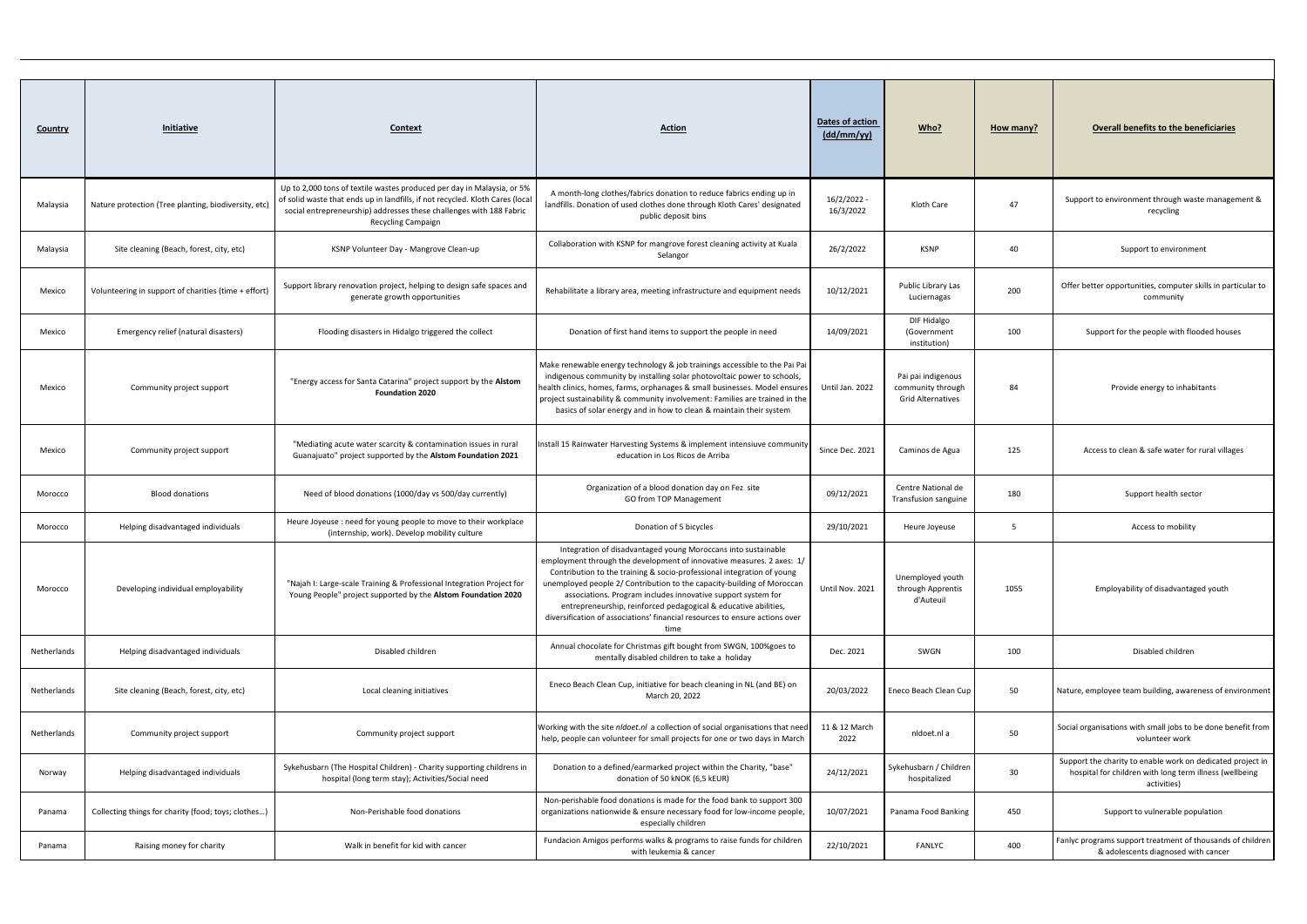| <b>Country</b> | <b>Initiative</b>                                    | Context                                                                                                                                                                                                                                                     | <b>Action</b>                                                                                                                                                                                                                                                                                                                                                                                                                                                                                                        | Dates of action<br>(dd/mm/yy) | Who?                                                                | How many? | <b>Overall benefits to the beneficiaries</b>                                                                                         |
|----------------|------------------------------------------------------|-------------------------------------------------------------------------------------------------------------------------------------------------------------------------------------------------------------------------------------------------------------|----------------------------------------------------------------------------------------------------------------------------------------------------------------------------------------------------------------------------------------------------------------------------------------------------------------------------------------------------------------------------------------------------------------------------------------------------------------------------------------------------------------------|-------------------------------|---------------------------------------------------------------------|-----------|--------------------------------------------------------------------------------------------------------------------------------------|
| Malaysia       | Nature protection (Tree planting, biodiversity, etc) | Up to 2,000 tons of textile wastes produced per day in Malaysia, or 5%<br>of solid waste that ends up in landfills, if not recycled. Kloth Cares (local<br>social entrepreneurship) addresses these challenges with 188 Fabric<br><b>Recycling Campaign</b> | A month-long clothes/fabrics donation to reduce fabrics ending up in<br>landfills. Donation of used clothes done through Kloth Cares' designated<br>public deposit bins                                                                                                                                                                                                                                                                                                                                              | 16/2/2022<br>16/3/2022        | Kloth Care                                                          | 47        | Support to environment through waste management &<br>recycling                                                                       |
| Malaysia       | Site cleaning (Beach, forest, city, etc)             | KSNP Volunteer Day - Mangrove Clean-up                                                                                                                                                                                                                      | Collaboration with KSNP for mangrove forest cleaning activity at Kuala<br>Selangor                                                                                                                                                                                                                                                                                                                                                                                                                                   | 26/2/2022                     | <b>KSNP</b>                                                         | 40        | Support to environment                                                                                                               |
| Mexico         | Volunteering in support of charities (time + effort) | Support library renovation project, helping to design safe spaces and<br>generate growth opportunities                                                                                                                                                      | Rehabilitate a library area, meeting infrastructure and equipment needs                                                                                                                                                                                                                                                                                                                                                                                                                                              | 10/12/2021                    | Public Library Las<br>Luciernagas                                   | 200       | Offer better opportunities, computer skills in particular to<br>community                                                            |
| Mexico         | Emergency relief (natural disasters)                 | Flooding disasters in Hidalgo triggered the collect                                                                                                                                                                                                         | Donation of first hand items to support the people in need                                                                                                                                                                                                                                                                                                                                                                                                                                                           | 14/09/2021                    | DIF Hidalgo<br>(Government<br>institution)                          | 100       | Support for the people with flooded houses                                                                                           |
| Mexico         | Community project support                            | "Energy access for Santa Catarina" project support by the Alstom<br><b>Foundation 2020</b>                                                                                                                                                                  | Make renewable energy technology & job trainings accessible to the Pai Pai<br>indigenous community by installing solar photovoltaic power to schools,<br>health clinics, homes, farms, orphanages & small businesses. Model ensures<br>project sustainability & community involvement: Families are trained in the<br>basics of solar energy and in how to clean & maintain their system                                                                                                                             | Until Jan. 2022               | Pai pai indigenous<br>community through<br><b>Grid Alternatives</b> | 84        | Provide energy to inhabitants                                                                                                        |
| Mexico         | Community project support                            | "Mediating acute water scarcity & contamination issues in rural<br>Guanajuato" project supported by the Alstom Foundation 2021                                                                                                                              | Install 15 Rainwater Harvesting Systems & implement intensiuve community<br>education in Los Ricos de Arriba                                                                                                                                                                                                                                                                                                                                                                                                         | Since Dec. 2021               | Caminos de Agua                                                     | 125       | Access to clean & safe water for rural villages                                                                                      |
| Morocco        | <b>Blood donations</b>                               | Need of blood donations (1000/day vs 500/day currently)                                                                                                                                                                                                     | Organization of a blood donation day on Fez site<br>GO from TOP Management                                                                                                                                                                                                                                                                                                                                                                                                                                           | 09/12/2021                    | Centre National de<br>Transfusion sanguine                          | 180       | Support health sector                                                                                                                |
| Morocco        | Helping disadvantaged individuals                    | Heure Joyeuse : need for young people to move to their workplace<br>(internship, work). Develop mobility culture                                                                                                                                            | Donation of 5 bicycles                                                                                                                                                                                                                                                                                                                                                                                                                                                                                               | 29/10/2021                    | Heure Joyeuse                                                       | 5         | Access to mobility                                                                                                                   |
| Morocco        | Developing individual employability                  | "Najah I: Large-scale Training & Professional Integration Project for<br>Young People" project supported by the Alstom Foundation 2020                                                                                                                      | Integration of disadvantaged young Moroccans into sustainable<br>employment through the development of innovative measures. 2 axes: 1/<br>Contribution to the training & socio-professional integration of young<br>unemployed people 2/ Contribution to the capacity-building of Moroccan<br>associations. Program includes innovative support system for<br>entrepreneurship, reinforced pedagogical & educative abilities,<br>diversification of associations' financial resources to ensure actions over<br>time | Until Nov. 2021               | Unemployed youth<br>through Apprentis<br>d'Auteuil                  | 1055      | Employability of disadvantaged youth                                                                                                 |
| Netherlands    | Helping disadvantaged individuals                    | Disabled children                                                                                                                                                                                                                                           | Annual chocolate for Christmas gift bought from SWGN, 100%goes to<br>mentally disabled children to take a holiday                                                                                                                                                                                                                                                                                                                                                                                                    | Dec. 2021                     | SWGN                                                                | 100       | Disabled children                                                                                                                    |
| Netherlands    | Site cleaning (Beach, forest, city, etc)             | Local cleaning initiatives                                                                                                                                                                                                                                  | Eneco Beach Clean Cup, initiative for beach cleaning in NL (and BE) on<br>March 20, 2022                                                                                                                                                                                                                                                                                                                                                                                                                             | 20/03/2022                    | Eneco Beach Clean Cup                                               | 50        | Nature, employee team building, awareness of environment                                                                             |
| Netherlands    | Community project support                            | Community project support                                                                                                                                                                                                                                   | Working with the site nldoet.nl a collection of social organisations that need<br>help, people can volunteer for small projects for one or two days in March                                                                                                                                                                                                                                                                                                                                                         | 11 & 12 March<br>2022         | nldoet.nl a                                                         | 50        | Social organisations with small jobs to be done benefit from<br>volunteer work                                                       |
| Norway         | Helping disadvantaged individuals                    | Sykehusbarn (The Hospital Children) - Charity supporting childrens in<br>hospital (long term stay); Activities/Social need                                                                                                                                  | Donation to a defined/earmarked project within the Charity, "base"<br>donation of 50 kNOK (6,5 kEUR)                                                                                                                                                                                                                                                                                                                                                                                                                 | 24/12/2021                    | Sykehusbarn / Children<br>hospitalized                              | 30        | Support the charity to enable work on dedicated project in<br>hospital for children with long term illness (wellbeing<br>activities) |
| Panama         | Collecting things for charity (food; toys; clothes)  | Non-Perishable food donations                                                                                                                                                                                                                               | Non-perishable food donations is made for the food bank to support 300<br>organizations nationwide & ensure necessary food for low-income people,<br>especially children                                                                                                                                                                                                                                                                                                                                             | 10/07/2021                    | Panama Food Banking                                                 | 450       | Support to vulnerable population                                                                                                     |
| Panama         | Raising money for charity                            | Walk in benefit for kid with cancer                                                                                                                                                                                                                         | Fundacion Amigos performs walks & programs to raise funds for children<br>with leukemia & cancer                                                                                                                                                                                                                                                                                                                                                                                                                     | 22/10/2021                    | FANLYC                                                              | 400       | Fanlyc programs support treatment of thousands of children<br>& adolescents diagnosed with cancer                                    |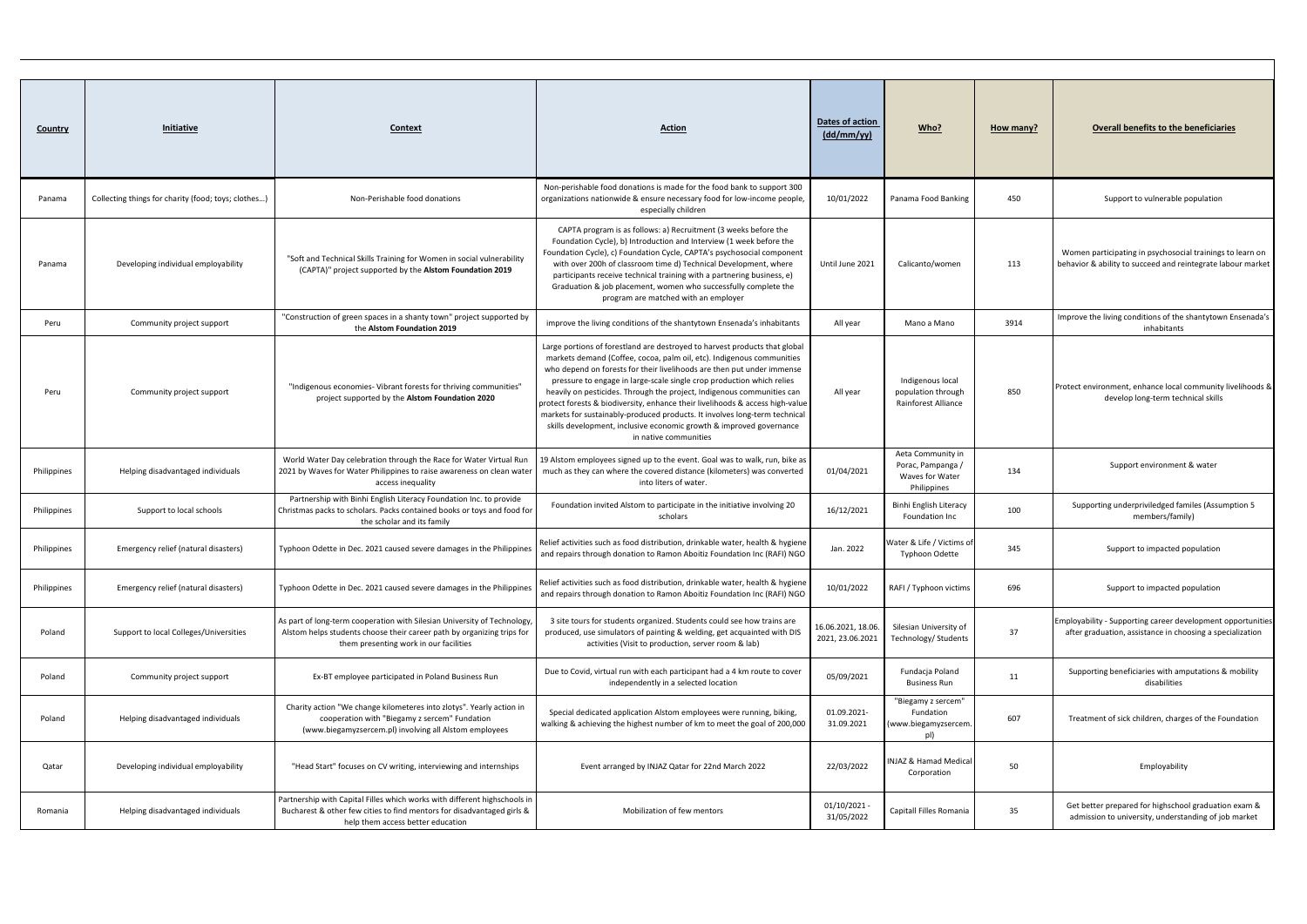| <b>Country</b> | <b>Initiative</b>                                   | Context                                                                                                                                                                                     | <b>Action</b>                                                                                                                                                                                                                                                                                                                                                                                                                                                                                                                                                                                                                                   | Dates of action<br>$\frac{dd/mm / yy)}{}$ | Who?                                                                     | How many? | <b>Overall benefits to the beneficiaries</b>                                                                             |
|----------------|-----------------------------------------------------|---------------------------------------------------------------------------------------------------------------------------------------------------------------------------------------------|-------------------------------------------------------------------------------------------------------------------------------------------------------------------------------------------------------------------------------------------------------------------------------------------------------------------------------------------------------------------------------------------------------------------------------------------------------------------------------------------------------------------------------------------------------------------------------------------------------------------------------------------------|-------------------------------------------|--------------------------------------------------------------------------|-----------|--------------------------------------------------------------------------------------------------------------------------|
| Panama         | Collecting things for charity (food; toys; clothes) | Non-Perishable food donations                                                                                                                                                               | Non-perishable food donations is made for the food bank to support 300<br>organizations nationwide & ensure necessary food for low-income people,<br>especially children                                                                                                                                                                                                                                                                                                                                                                                                                                                                        | 10/01/2022                                | Panama Food Banking                                                      | 450       | Support to vulnerable population                                                                                         |
| Panama         | Developing individual employability                 | "Soft and Technical Skills Training for Women in social vulnerability<br>(CAPTA)" project supported by the Alstom Foundation 2019                                                           | CAPTA program is as follows: a) Recruitment (3 weeks before the<br>Foundation Cycle), b) Introduction and Interview (1 week before the<br>Foundation Cycle), c) Foundation Cycle, CAPTA's psychosocial component<br>with over 200h of classroom time d) Technical Development, where<br>participants receive technical training with a partnering business, e)<br>Graduation & job placement, women who successfully complete the<br>program are matched with an employer                                                                                                                                                                       | Until June 2021                           | Calicanto/women                                                          | 113       | Women participating in psychosocial trainings to learn on<br>behavior & ability to succeed and reintegrate labour market |
| Peru           | Community project support                           | "Construction of green spaces in a shanty town" project supported by<br>the Alstom Foundation 2019                                                                                          | improve the living conditions of the shantytown Ensenada's inhabitants                                                                                                                                                                                                                                                                                                                                                                                                                                                                                                                                                                          | All year                                  | Mano a Mano                                                              | 3914      | Improve the living conditions of the shantytown Ensenada's<br>inhabitants                                                |
| Peru           | Community project support                           | "Indigenous economies- Vibrant forests for thriving communities"<br>project supported by the Alstom Foundation 2020                                                                         | Large portions of forestland are destroyed to harvest products that global<br>markets demand (Coffee, cocoa, palm oil, etc). Indigenous communities<br>who depend on forests for their livelihoods are then put under immense<br>pressure to engage in large-scale single crop production which relies<br>heavily on pesticides. Through the project, Indigenous communities can<br>protect forests & biodiversity, enhance their livelihoods & access high-value<br>markets for sustainably-produced products. It involves long-term technical<br>skills development, inclusive economic growth & improved governance<br>in native communities | All year                                  | Indigenous local<br>population through<br>Rainforest Alliance            | 850       | Protect environment, enhance local community livelihoods &<br>develop long-term technical skills                         |
| Philippines    | Helping disadvantaged individuals                   | World Water Day celebration through the Race for Water Virtual Run<br>2021 by Waves for Water Philippines to raise awareness on clean water<br>access inequality                            | 19 Alstom employees signed up to the event. Goal was to walk, run, bike as<br>much as they can where the covered distance (kilometers) was converted<br>into liters of water.                                                                                                                                                                                                                                                                                                                                                                                                                                                                   | 01/04/2021                                | Aeta Community in<br>Porac, Pampanga /<br>Waves for Water<br>Philippines | 134       | Support environment & water                                                                                              |
| Philippines    | Support to local schools                            | Partnership with Binhi English Literacy Foundation Inc. to provide<br>Christmas packs to scholars. Packs contained books or toys and food for<br>the scholar and its family                 | Foundation invited Alstom to participate in the initiative involving 20<br>scholars                                                                                                                                                                                                                                                                                                                                                                                                                                                                                                                                                             | 16/12/2021                                | Binhi English Literacy<br>Foundation Inc                                 | 100       | Supporting underpriviledged familes (Assumption 5<br>members/family)                                                     |
| Philippines    | Emergency relief (natural disasters)                | Typhoon Odette in Dec. 2021 caused severe damages in the Philippines                                                                                                                        | Relief activities such as food distribution, drinkable water, health & hygiene<br>and repairs through donation to Ramon Aboitiz Foundation Inc (RAFI) NGO                                                                                                                                                                                                                                                                                                                                                                                                                                                                                       | Jan. 2022                                 | Water & Life / Victims of<br>Typhoon Odette                              | 345       | Support to impacted population                                                                                           |
| Philippines    | Emergency relief (natural disasters)                | Typhoon Odette in Dec. 2021 caused severe damages in the Philippines                                                                                                                        | Relief activities such as food distribution, drinkable water, health & hygiene<br>and repairs through donation to Ramon Aboitiz Foundation Inc (RAFI) NGO                                                                                                                                                                                                                                                                                                                                                                                                                                                                                       | 10/01/2022                                | RAFI / Typhoon victims                                                   | 696       | Support to impacted population                                                                                           |
| Poland         | Support to local Colleges/Universities              | As part of long-term cooperation with Silesian University of Technology<br>Alstom helps students choose their career path by organizing trips for<br>them presenting work in our facilities | 3 site tours for students organized. Students could see how trains are<br>produced, use simulators of painting & welding, get acquainted with DIS<br>activities (Visit to production, server room & lab)                                                                                                                                                                                                                                                                                                                                                                                                                                        | 16.06.2021, 18.06.<br>2021, 23.06.2021    | Silesian University of<br>Technology/ Students                           | 37        | Employability - Supporting career development opportunities<br>after graduation, assistance in choosing a specialization |
| Poland         | Community project support                           | Ex-BT employee participated in Poland Business Run                                                                                                                                          | Due to Covid, virtual run with each participant had a 4 km route to cover<br>independently in a selected location                                                                                                                                                                                                                                                                                                                                                                                                                                                                                                                               | 05/09/2021                                | Fundacja Poland<br><b>Business Run</b>                                   | 11        | Supporting beneficiaries with amputations & mobility<br>disabilities                                                     |
| Poland         | Helping disadvantaged individuals                   | Charity action "We change kilometeres into zlotys". Yearly action in<br>cooperation with "Biegamy z sercem" Fundation<br>(www.biegamyzsercem.pl) involving all Alstom employees             | Special dedicated application Alstom employees were running, biking,<br>walking & achieving the highest number of km to meet the goal of 200,000                                                                                                                                                                                                                                                                                                                                                                                                                                                                                                | 01.09.2021-<br>31.09.2021                 | "Biegamy z sercem"<br>Fundation<br>(www.biegamyzsercem.<br>pl)           | 607       | Treatment of sick children, charges of the Foundation                                                                    |
| Qatar          | Developing individual employability                 | "Head Start" focuses on CV writing, interviewing and internships                                                                                                                            | Event arranged by INJAZ Qatar for 22nd March 2022                                                                                                                                                                                                                                                                                                                                                                                                                                                                                                                                                                                               | 22/03/2022                                | NJAZ & Hamad Medical<br>Corporation                                      | 50        | Employability                                                                                                            |
| Romania        | Helping disadvantaged individuals                   | Partnership with Capital Filles which works with different highschools in<br>Bucharest & other few cities to find mentors for disadvantaged girls &<br>help them access better education    | Mobilization of few mentors                                                                                                                                                                                                                                                                                                                                                                                                                                                                                                                                                                                                                     | 01/10/2021<br>31/05/2022                  | Capitall Filles Romania                                                  | 35        | Get better prepared for highschool graduation exam &<br>admission to university, understanding of job market             |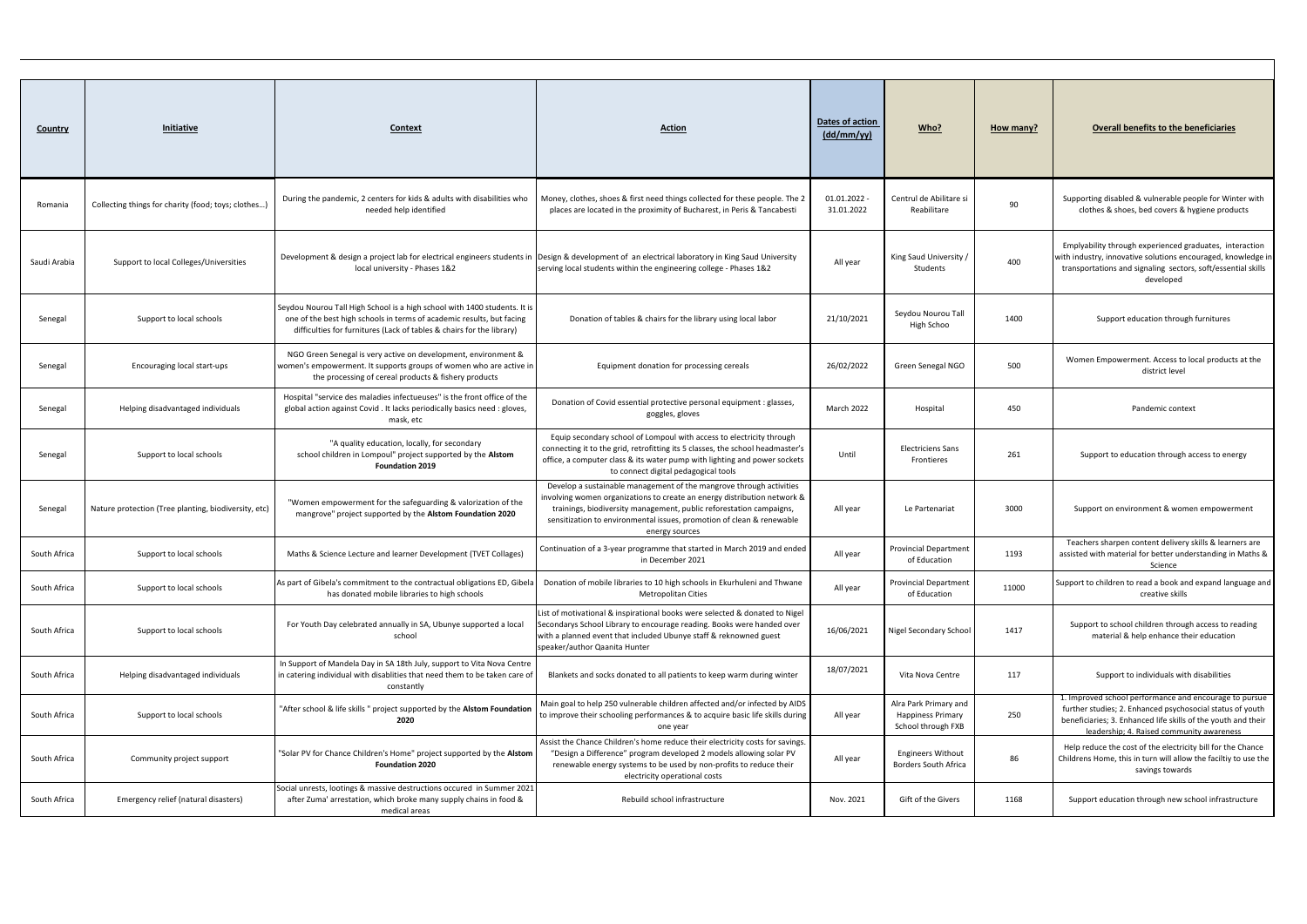| <b>Country</b> | Initiative                                           | Context                                                                                                                                                                                                                     | <b>Action</b>                                                                                                                                                                                                                                                                                                     | Dates of action<br>(dd/mm/yy) | Who?                                                                    | How many? | <b>Overall benefits to the beneficiaries</b>                                                                                                                                                                                      |
|----------------|------------------------------------------------------|-----------------------------------------------------------------------------------------------------------------------------------------------------------------------------------------------------------------------------|-------------------------------------------------------------------------------------------------------------------------------------------------------------------------------------------------------------------------------------------------------------------------------------------------------------------|-------------------------------|-------------------------------------------------------------------------|-----------|-----------------------------------------------------------------------------------------------------------------------------------------------------------------------------------------------------------------------------------|
| Romania        | Collecting things for charity (food; toys; clothes)  | During the pandemic, 2 centers for kids & adults with disabilities who<br>needed help identified                                                                                                                            | Money, clothes, shoes & first need things collected for these people. The 2<br>places are located in the proximity of Bucharest, in Peris & Tancabesti                                                                                                                                                            | 01.01.2022<br>31.01.2022      | Centrul de Abilitare si<br>Reabilitare                                  | 90        | Supporting disabled & vulnerable people for Winter with<br>clothes & shoes, bed covers & hygiene products                                                                                                                         |
| Saudi Arabia   | Support to local Colleges/Universities               | local university - Phases 1&2                                                                                                                                                                                               | Development & design a project lab for electrical engineers students in Design & development of an electrical laboratory in King Saud University<br>serving local students within the engineering college - Phases 1&2                                                                                            | All year                      | King Saud University /<br>Students                                      | 400       | Emplyability through experienced graduates, interaction<br>with industry, innovative solutions encouraged, knowledge in<br>transportations and signaling sectors, soft/essential skills<br>developed                              |
| Senegal        | Support to local schools                             | Seydou Nourou Tall High School is a high school with 1400 students. It is<br>one of the best high schools in terms of academic results, but facing<br>difficulties for furnitures (Lack of tables & chairs for the library) | Donation of tables & chairs for the library using local labor                                                                                                                                                                                                                                                     | 21/10/2021                    | Seydou Nourou Tall<br>High Schoo                                        | 1400      | Support education through furnitures                                                                                                                                                                                              |
| Senegal        | Encouraging local start-ups                          | NGO Green Senegal is very active on development, environment &<br>women's empowerment. It supports groups of women who are active in<br>the processing of cereal products & fishery products                                | Equipment donation for processing cereals                                                                                                                                                                                                                                                                         | 26/02/2022                    | Green Senegal NGO                                                       | 500       | Women Empowerment. Access to local products at the<br>district level                                                                                                                                                              |
| Senegal        | Helping disadvantaged individuals                    | Hospital "service des maladies infectueuses" is the front office of the<br>global action against Covid . It lacks periodically basics need : gloves,<br>mask, etc                                                           | Donation of Covid essential protective personal equipment : glasses,<br>goggles, gloves                                                                                                                                                                                                                           | <b>March 2022</b>             | Hospital                                                                | 450       | Pandemic context                                                                                                                                                                                                                  |
| Senegal        | Support to local schools                             | "A quality education, locally, for secondary<br>school children in Lompoul" project supported by the Alstom<br><b>Foundation 2019</b>                                                                                       | Equip secondary school of Lompoul with access to electricity through<br>connecting it to the grid, retrofitting its 5 classes, the school headmaster's<br>office, a computer class & its water pump with lighting and power sockets<br>to connect digital pedagogical tools                                       | Until                         | <b>Electriciens Sans</b><br>Frontieres                                  | 261       | Support to education through access to energy                                                                                                                                                                                     |
| Senegal        | Nature protection (Tree planting, biodiversity, etc) | "Women empowerment for the safeguarding & valorization of the<br>mangrove" project supported by the Alstom Foundation 2020                                                                                                  | Develop a sustainable management of the mangrove through activities<br>involving women organizations to create an energy distribution network &<br>trainings, biodiversity management, public reforestation campaigns,<br>sensitization to environmental issues, promotion of clean & renewable<br>energy sources | All year                      | Le Partenariat                                                          | 3000      | Support on environment & women empowerment                                                                                                                                                                                        |
| South Africa   | Support to local schools                             | Maths & Science Lecture and learner Development (TVET Collages)                                                                                                                                                             | Continuation of a 3-year programme that started in March 2019 and ended<br>in December 2021                                                                                                                                                                                                                       | All year                      | <b>Provincial Department</b><br>of Education                            | 1193      | Teachers sharpen content delivery skills & learners are<br>assisted with material for better understanding in Maths &<br>Science                                                                                                  |
| South Africa   | Support to local schools                             | As part of Gibela's commitment to the contractual obligations ED, Gibela<br>has donated mobile libraries to high schools                                                                                                    | Donation of mobile libraries to 10 high schools in Ekurhuleni and Thwane<br><b>Metropolitan Cities</b>                                                                                                                                                                                                            | All year                      | <b>Provincial Department</b><br>of Education                            | 11000     | Support to children to read a book and expand language and<br>creative skills                                                                                                                                                     |
| South Africa   | Support to local schools                             | For Youth Day celebrated annually in SA, Ubunye supported a local<br>school                                                                                                                                                 | List of motivational & inspirational books were selected & donated to Nigel<br>Secondarys School Library to encourage reading. Books were handed over<br>with a planned event that included Ubunye staff & reknowned guest<br>speaker/author Qaanita Hunter                                                       | 16/06/2021                    | Nigel Secondary School                                                  | 1417      | Support to school children through access to reading<br>material & help enhance their education                                                                                                                                   |
| South Africa   | Helping disadvantaged individuals                    | In Support of Mandela Day in SA 18th July, support to Vita Nova Centre<br>in catering individual with disablities that need them to be taken care of<br>constantly                                                          | Blankets and socks donated to all patients to keep warm during winter                                                                                                                                                                                                                                             | 18/07/2021                    | Vita Nova Centre                                                        | 117       | Support to individuals with disabilities                                                                                                                                                                                          |
| South Africa   | Support to local schools                             | "After school & life skills " project supported by the Alstom Foundation<br>2020                                                                                                                                            | Main goal to help 250 vulnerable children affected and/or infected by AIDS<br>to improve their schooling performances & to acquire basic life skills during<br>one year                                                                                                                                           | All year                      | Alra Park Primary and<br><b>Happiness Primary</b><br>School through FXB | 250       | 1. Improved school performance and encourage to pursue<br>further studies; 2. Enhanced psychosocial status of youth<br>beneficiaries; 3. Enhanced life skills of the youth and their<br>leadership: 4. Raised community awareness |
| South Africa   | Community project support                            | "Solar PV for Chance Children's Home" project supported by the Alstom<br><b>Foundation 2020</b>                                                                                                                             | Assist the Chance Children's home reduce their electricity costs for savings.<br>"Design a Difference" program developed 2 models allowing solar PV<br>renewable energy systems to be used by non-profits to reduce their<br>electricity operational costs                                                        | All year                      | <b>Engineers Without</b><br>Borders South Africa                        | 86        | Help reduce the cost of the electricity bill for the Chance<br>Childrens Home, this in turn will allow the faciltiy to use the<br>savings towards                                                                                 |
| South Africa   | Emergency relief (natural disasters)                 | Social unrests, lootings & massive destructions occured in Summer 2021<br>after Zuma' arrestation, which broke many supply chains in food &<br>medical areas                                                                | Rebuild school infrastructure                                                                                                                                                                                                                                                                                     | Nov. 2021                     | Gift of the Givers                                                      | 1168      | Support education through new school infrastructure                                                                                                                                                                               |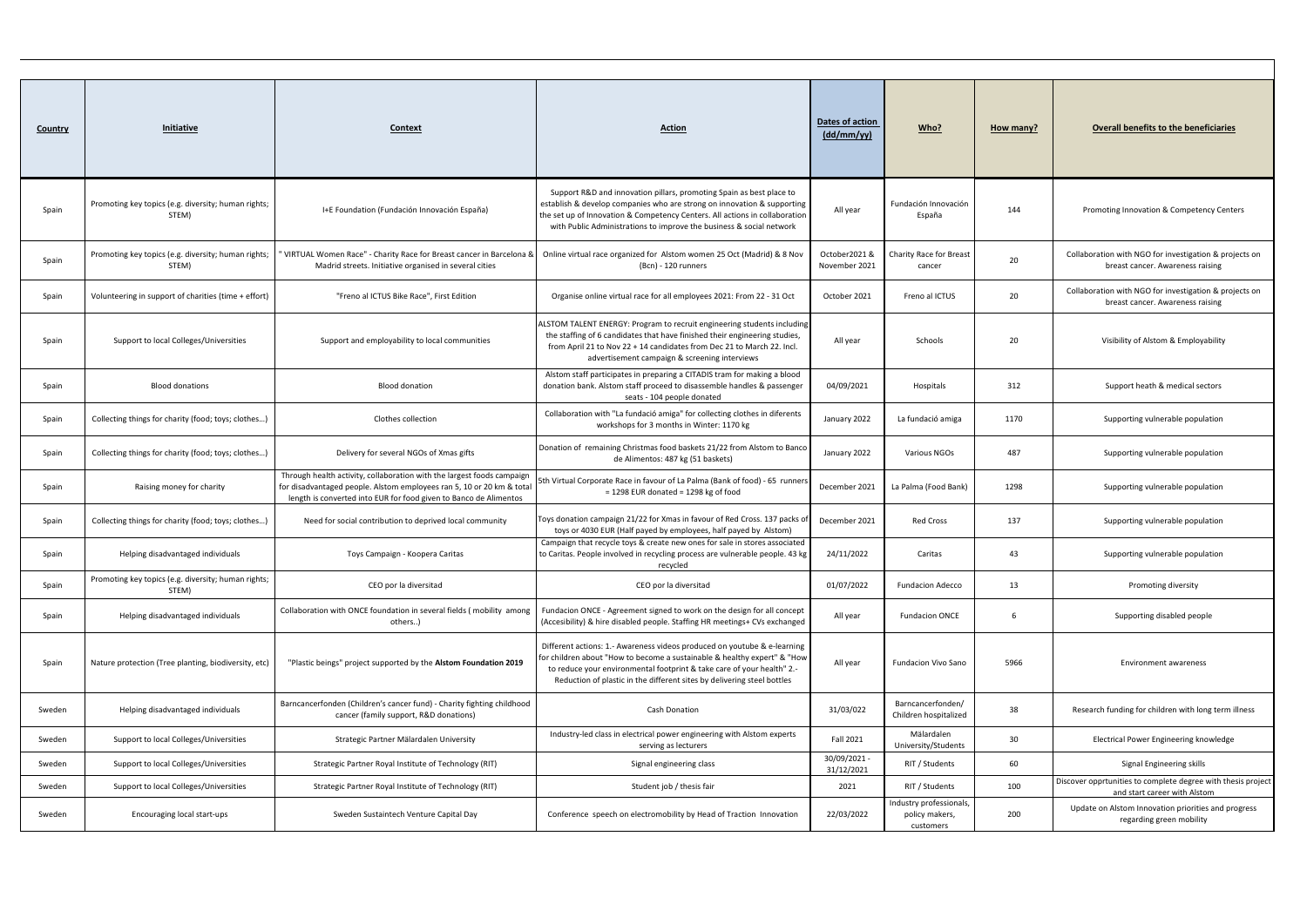| <u>Country</u> | <b>Initiative</b>                                            | <b>Context</b>                                                                                                                                                                                                       | <b>Action</b>                                                                                                                                                                                                                                                                                             | Dates of action<br>$\frac{dd/mm / yy}{ }$ | Who?                                                   | How many? | <b>Overall benefits to the beneficiaries</b>                                                 |
|----------------|--------------------------------------------------------------|----------------------------------------------------------------------------------------------------------------------------------------------------------------------------------------------------------------------|-----------------------------------------------------------------------------------------------------------------------------------------------------------------------------------------------------------------------------------------------------------------------------------------------------------|-------------------------------------------|--------------------------------------------------------|-----------|----------------------------------------------------------------------------------------------|
| Spain          | Promoting key topics (e.g. diversity; human rights;<br>STEM) | I+E Foundation (Fundación Innovación España)                                                                                                                                                                         | Support R&D and innovation pillars, promoting Spain as best place to<br>establish & develop companies who are strong on innovation & supporting<br>the set up of Innovation & Competency Centers. All actions in collaboration<br>with Public Administrations to improve the business & social network    | All year                                  | Fundación Innovación<br>España                         | 144       | Promoting Innovation & Competency Centers                                                    |
| Spain          | Promoting key topics (e.g. diversity; human rights;<br>STEM) | 'VIRTUAL Women Race" - Charity Race for Breast cancer in Barcelona &<br>Madrid streets. Initiative organised in several cities                                                                                       | Online virtual race organized for Alstom women 25 Oct (Madrid) & 8 Nov<br>(Bcn) - 120 runners                                                                                                                                                                                                             | October2021 &<br>November 2021            | Charity Race for Breast<br>cancer                      | 20        | Collaboration with NGO for investigation & projects on<br>breast cancer. Awareness raising   |
| Spain          | Volunteering in support of charities (time + effort)         | "Freno al ICTUS Bike Race", First Edition                                                                                                                                                                            | Organise online virtual race for all employees 2021: From 22 - 31 Oct                                                                                                                                                                                                                                     | October 2021                              | Freno al ICTUS                                         | 20        | Collaboration with NGO for investigation & projects on<br>breast cancer. Awareness raising   |
| Spain          | Support to local Colleges/Universities                       | Support and employability to local communities                                                                                                                                                                       | ALSTOM TALENT ENERGY: Program to recruit engineering students including<br>the staffing of 6 candidates that have finished their engineering studies<br>from April 21 to Nov 22 + 14 candidates from Dec 21 to March 22. Incl.<br>advertisement campaign & screening interviews                           | All year                                  | Schools                                                | 20        | Visibility of Alstom & Employability                                                         |
| Spain          | <b>Blood donations</b>                                       | <b>Blood donation</b>                                                                                                                                                                                                | Alstom staff participates in preparing a CITADIS tram for making a blood<br>donation bank. Alstom staff proceed to disassemble handles & passenger<br>seats - 104 people donated                                                                                                                          | 04/09/2021                                | Hospitals                                              | 312       | Support heath & medical sectors                                                              |
| Spain          | Collecting things for charity (food; toys; clothes)          | Clothes collection                                                                                                                                                                                                   | Collaboration with "La fundació amiga" for collecting clothes in diferents<br>workshops for 3 months in Winter: 1170 kg                                                                                                                                                                                   | January 2022                              | La fundació amiga                                      | 1170      | Supporting vulnerable population                                                             |
| Spain          | Collecting things for charity (food; toys; clothes)          | Delivery for several NGOs of Xmas gifts                                                                                                                                                                              | Donation of remaining Christmas food baskets 21/22 from Alstom to Banco<br>de Alimentos: 487 kg (51 baskets)                                                                                                                                                                                              | January 2022                              | <b>Various NGOs</b>                                    | 487       | Supporting vulnerable population                                                             |
| Spain          | Raising money for charity                                    | Through health activity, collaboration with the largest foods campaign<br>for disadvantaged people. Alstom employees ran 5, 10 or 20 km & total<br>length is converted into EUR for food given to Banco de Alimentos | 5th Virtual Corporate Race in favour of La Palma (Bank of food) - 65 runners<br>$= 1298$ EUR donated = 1298 kg of food                                                                                                                                                                                    | December 2021                             | La Palma (Food Bank)                                   | 1298      | Supporting vulnerable population                                                             |
| Spain          | Collecting things for charity (food; toys; clothes)          | Need for social contribution to deprived local community                                                                                                                                                             | Toys donation campaign 21/22 for Xmas in favour of Red Cross. 137 packs of<br>toys or 4030 EUR (Half payed by employees, half payed by Alstom)                                                                                                                                                            | December 2021                             | <b>Red Cross</b>                                       | 137       | Supporting vulnerable population                                                             |
| Spain          | Helping disadvantaged individuals                            | Toys Campaign - Koopera Caritas                                                                                                                                                                                      | Campaign that recycle toys & create new ones for sale in stores associated<br>to Caritas. People involved in recycling process are vulnerable people. 43 kg<br>recycled                                                                                                                                   | 24/11/2022                                | Caritas                                                | 43        | Supporting vulnerable population                                                             |
| Spain          | Promoting key topics (e.g. diversity; human rights;<br>STEM) | CEO por la diversitad                                                                                                                                                                                                | CEO por la diversitad                                                                                                                                                                                                                                                                                     | 01/07/2022                                | <b>Fundacion Adecco</b>                                | 13        | Promoting diversity                                                                          |
| Spain          | Helping disadvantaged individuals                            | Collaboration with ONCE foundation in several fields (mobility among<br>others)                                                                                                                                      | Fundacion ONCE - Agreement signed to work on the design for all concept<br>(Accesibility) & hire disabled people. Staffing HR meetings+ CVs exchanged                                                                                                                                                     | All year                                  | <b>Fundacion ONCE</b>                                  | 6         | Supporting disabled people                                                                   |
| Spain          | Nature protection (Tree planting, biodiversity, etc)         | "Plastic beings" project supported by the Alstom Foundation 2019                                                                                                                                                     | Different actions: 1.- Awareness videos produced on youtube & e-learning<br>for children about "How to become a sustainable & healthy expert" & "How<br>to reduce your environmental footprint & take care of your health" 2.-<br>Reduction of plastic in the different sites by delivering steel bottles | All year                                  | <b>Fundacion Vivo Sano</b>                             | 5966      | <b>Environment awareness</b>                                                                 |
| Sweden         | Helping disadvantaged individuals                            | Barncancerfonden (Children's cancer fund) - Charity fighting childhood<br>cancer (family support, R&D donations)                                                                                                     | <b>Cash Donation</b>                                                                                                                                                                                                                                                                                      | 31/03/022                                 | Barncancerfonden/<br>Children hospitalized             | 38        | Research funding for children with long term illness                                         |
| Sweden         | Support to local Colleges/Universities                       | Strategic Partner Mälardalen University                                                                                                                                                                              | Industry-led class in electrical power engineering with Alstom experts<br>serving as lecturers                                                                                                                                                                                                            | Fall 2021                                 | Mälardalen<br>University/Students                      | 30        | Electrical Power Engineering knowledge                                                       |
| Sweden         | Support to local Colleges/Universities                       | Strategic Partner Royal Institute of Technology (RIT)                                                                                                                                                                | Signal engineering class                                                                                                                                                                                                                                                                                  | 30/09/2021 -<br>31/12/2021                | RIT / Students                                         | 60        | Signal Engineering skills                                                                    |
| Sweden         | Support to local Colleges/Universities                       | Strategic Partner Royal Institute of Technology (RIT)                                                                                                                                                                | Student job / thesis fair                                                                                                                                                                                                                                                                                 | 2021                                      | RIT / Students                                         | 100       | Discover opprtunities to complete degree with thesis project<br>and start career with Alstom |
| Sweden         | Encouraging local start-ups                                  | Sweden Sustaintech Venture Capital Day                                                                                                                                                                               | Conference speech on electromobility by Head of Traction Innovation                                                                                                                                                                                                                                       | 22/03/2022                                | Industry professionals,<br>policy makers,<br>customers | 200       | Update on Alstom Innovation priorities and progress<br>regarding green mobility              |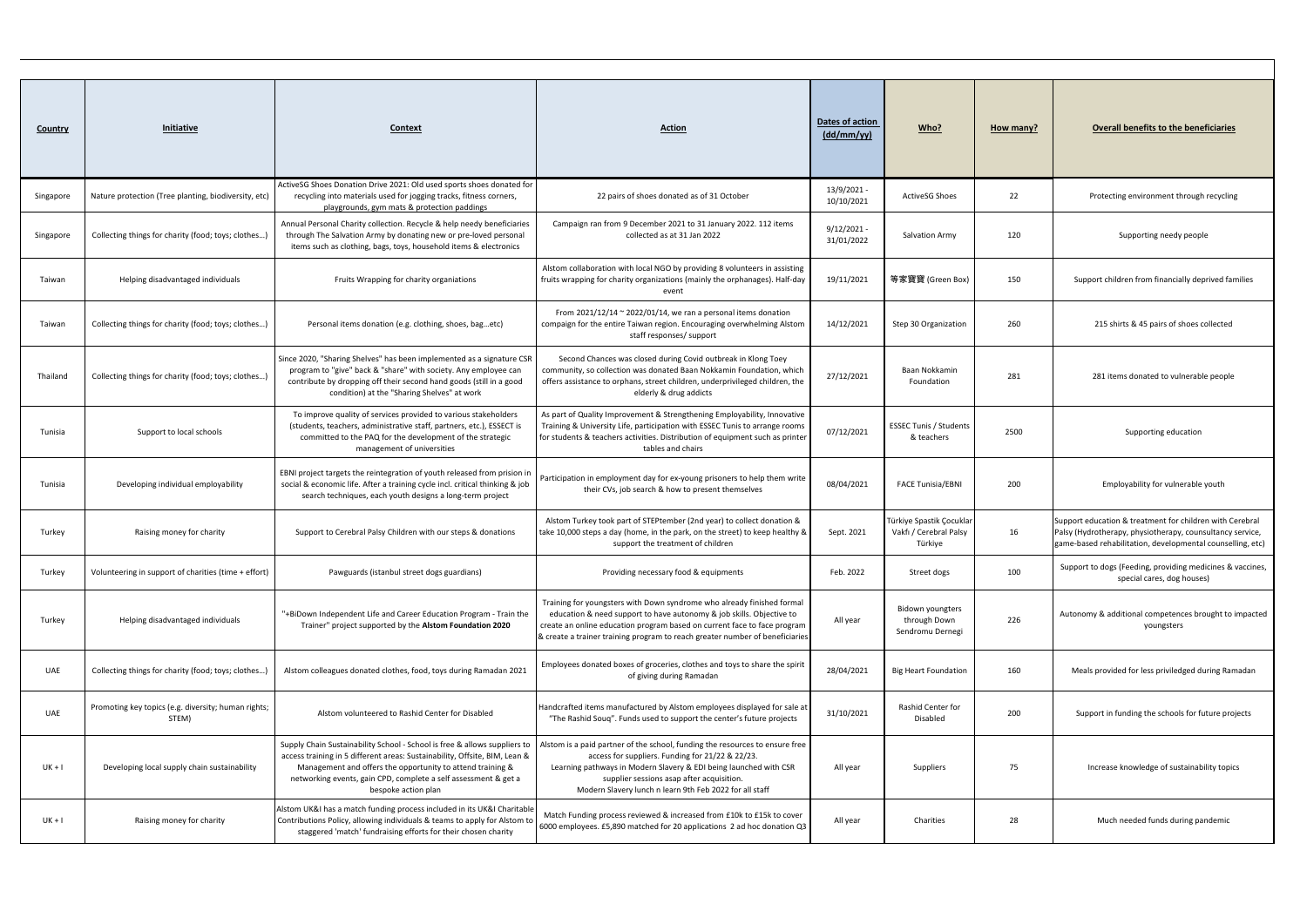| <b>Country</b> | Initiative                                                   | Context                                                                                                                                                                                                                                                                                                         | <b>Action</b>                                                                                                                                                                                                                                                                                                 | Dates of action<br>$\frac{dd/mm / yy}{$ | Who?                                                          | How many? | <b>Overall benefits to the beneficiaries</b>                                                                                                                                        |
|----------------|--------------------------------------------------------------|-----------------------------------------------------------------------------------------------------------------------------------------------------------------------------------------------------------------------------------------------------------------------------------------------------------------|---------------------------------------------------------------------------------------------------------------------------------------------------------------------------------------------------------------------------------------------------------------------------------------------------------------|-----------------------------------------|---------------------------------------------------------------|-----------|-------------------------------------------------------------------------------------------------------------------------------------------------------------------------------------|
| Singapore      | Nature protection (Tree planting, biodiversity, etc)         | ActiveSG Shoes Donation Drive 2021: Old used sports shoes donated for<br>recycling into materials used for jogging tracks, fitness corners,<br>playgrounds, gym mats & protection paddings                                                                                                                      | 22 pairs of shoes donated as of 31 October                                                                                                                                                                                                                                                                    | 13/9/2021-<br>10/10/2021                | <b>ActiveSG Shoes</b>                                         | 22        | Protecting environment through recycling                                                                                                                                            |
| Singapore      | Collecting things for charity (food; toys; clothes)          | Annual Personal Charity collection. Recycle & help needy beneficiaries<br>through The Salvation Army by donating new or pre-loved personal<br>items such as clothing, bags, toys, household items & electronics                                                                                                 | Campaign ran from 9 December 2021 to 31 January 2022. 112 items<br>collected as at 31 Jan 2022                                                                                                                                                                                                                | $9/12/2021 -$<br>31/01/2022             | Salvation Army                                                | 120       | Supporting needy people                                                                                                                                                             |
| Taiwan         | Helping disadvantaged individuals                            | Fruits Wrapping for charity organiations                                                                                                                                                                                                                                                                        | Alstom collaboration with local NGO by providing 8 volunteers in assisting<br>fruits wrapping for charity organizations (mainly the orphanages). Half-day<br>event                                                                                                                                            | 19/11/2021                              | 等家寶寶 (Green Box)                                              | 150       | Support children from financially deprived families                                                                                                                                 |
| Taiwan         | Collecting things for charity (food; toys; clothes)          | Personal items donation (e.g. clothing, shoes, bagetc)                                                                                                                                                                                                                                                          | From $2021/12/14 \approx 2022/01/14$ , we ran a personal items donation<br>compaign for the entire Taiwan region. Encouraging overwhelming Alstom<br>staff responses/ support                                                                                                                                 | 14/12/2021                              | Step 30 Organization                                          | 260       | 215 shirts & 45 pairs of shoes collected                                                                                                                                            |
| Thailand       | Collecting things for charity (food; toys; clothes)          | Since 2020, "Sharing Shelves" has been implemented as a signature CSR<br>program to "give" back & "share" with society. Any employee can<br>contribute by dropping off their second hand goods (still in a good<br>condition) at the "Sharing Shelves" at work                                                  | Second Chances was closed during Covid outbreak in Klong Toey<br>community, so collection was donated Baan Nokkamin Foundation, which<br>offers assistance to orphans, street children, underprivileged children, the<br>elderly & drug addicts                                                               | 27/12/2021                              | Baan Nokkamin<br>Foundation                                   | 281       | 281 items donated to vulnerable people                                                                                                                                              |
| Tunisia        | Support to local schools                                     | To improve quality of services provided to various stakeholders<br>(students, teachers, administrative staff, partners, etc.), ESSECT is<br>committed to the PAQ for the development of the strategic<br>management of universities                                                                             | As part of Quality Improvement & Strengthening Employability, Innovative<br>Training & University Life, participation with ESSEC Tunis to arrange rooms<br>for students & teachers activities. Distribution of equipment such as printer<br>tables and chairs                                                 | 07/12/2021                              | <b>ESSEC Tunis / Students</b><br>& teachers                   | 2500      | Supporting education                                                                                                                                                                |
| Tunisia        | Developing individual employability                          | EBNI project targets the reintegration of youth released from prision in<br>social & economic life. After a training cycle incl. critical thinking & job<br>search techniques, each youth designs a long-term project                                                                                           | Participation in employment day for ex-young prisoners to help them write<br>their CVs, job search & how to present themselves                                                                                                                                                                                | 08/04/2021                              | <b>FACE Tunisia/EBNI</b>                                      | 200       | Employability for vulnerable youth                                                                                                                                                  |
| Turkey         | Raising money for charity                                    | Support to Cerebral Palsy Children with our steps & donations                                                                                                                                                                                                                                                   | Alstom Turkey took part of STEPtember (2nd year) to collect donation &<br>take 10,000 steps a day (home, in the park, on the street) to keep healthy &<br>support the treatment of children                                                                                                                   | Sept. 2021                              | Türkiye Spastik Çocuklar<br>Vakfı / Cerebral Palsy<br>Türkiye | 16        | Support education & treatment for children with Cerebral<br>Palsy (Hydrotherapy, physiotherapy, counsultancy service,<br>game-based rehabilitation, developmental counselling, etc) |
| Turkey         | Volunteering in support of charities (time + effort)         | Pawguards (istanbul street dogs guardians)                                                                                                                                                                                                                                                                      | Providing necessary food & equipments                                                                                                                                                                                                                                                                         | Feb. 2022                               | Street dogs                                                   | 100       | Support to dogs (Feeding, providing medicines & vaccines,<br>special cares, dog houses)                                                                                             |
| Turkey         | Helping disadvantaged individuals                            | "+BiDown Independent Life and Career Education Program - Train the<br>Trainer" project supported by the Alstom Foundation 2020                                                                                                                                                                                  | Training for youngsters with Down syndrome who already finished formal<br>education & need support to have autonomy & job skills. Objective to<br>create an online education program based on current face to face program<br>& create a trainer training program to reach greater number of beneficiaries    | All year                                | <b>Bidown youngters</b><br>through Down<br>Sendromu Dernegi   | 226       | Autonomy & additional competences brought to impacted<br>youngsters                                                                                                                 |
| UAE            | Collecting things for charity (food; toys; clothes)          | Alstom colleagues donated clothes, food, toys during Ramadan 2021                                                                                                                                                                                                                                               | Employees donated boxes of groceries, clothes and toys to share the spirit<br>of giving during Ramadan                                                                                                                                                                                                        | 28/04/2021                              | <b>Big Heart Foundation</b>                                   | 160       | Meals provided for less priviledged during Ramadan                                                                                                                                  |
| <b>UAE</b>     | Promoting key topics (e.g. diversity; human rights;<br>STEM) | Alstom volunteered to Rashid Center for Disabled                                                                                                                                                                                                                                                                | Handcrafted items manufactured by Alstom employees displayed for sale at<br>"The Rashid Souq". Funds used to support the center's future projects                                                                                                                                                             | 31/10/2021                              | Rashid Center for<br>Disabled                                 | 200       | Support in funding the schools for future projects                                                                                                                                  |
| $UK + I$       | Developing local supply chain sustainability                 | Supply Chain Sustainability School - School is free & allows suppliers to<br>access training in 5 different areas: Sustainability, Offsite, BIM, Lean &<br>Management and offers the opportunity to attend training &<br>networking events, gain CPD, complete a self assessment & get a<br>bespoke action plan | Alstom is a paid partner of the school, funding the resources to ensure free<br>access for suppliers. Funding for 21/22 & 22/23.<br>Learning pathways in Modern Slavery & EDI being launched with CSR<br>supplier sessions asap after acquisition.<br>Modern Slavery lunch n learn 9th Feb 2022 for all staff | All year                                | Suppliers                                                     | 75        | Increase knowledge of sustainability topics                                                                                                                                         |
| $UK + I$       | Raising money for charity                                    | Alstom UK&I has a match funding process included in its UK&I Charitable<br>Contributions Policy, allowing individuals & teams to apply for Alstom to<br>staggered 'match' fundraising efforts for their chosen charity                                                                                          | Match Funding process reviewed & increased from £10k to £15k to cover<br>6000 employees. £5,890 matched for 20 applications 2 ad hoc donation Q3                                                                                                                                                              | All year                                | Charities                                                     | 28        | Much needed funds during pandemic                                                                                                                                                   |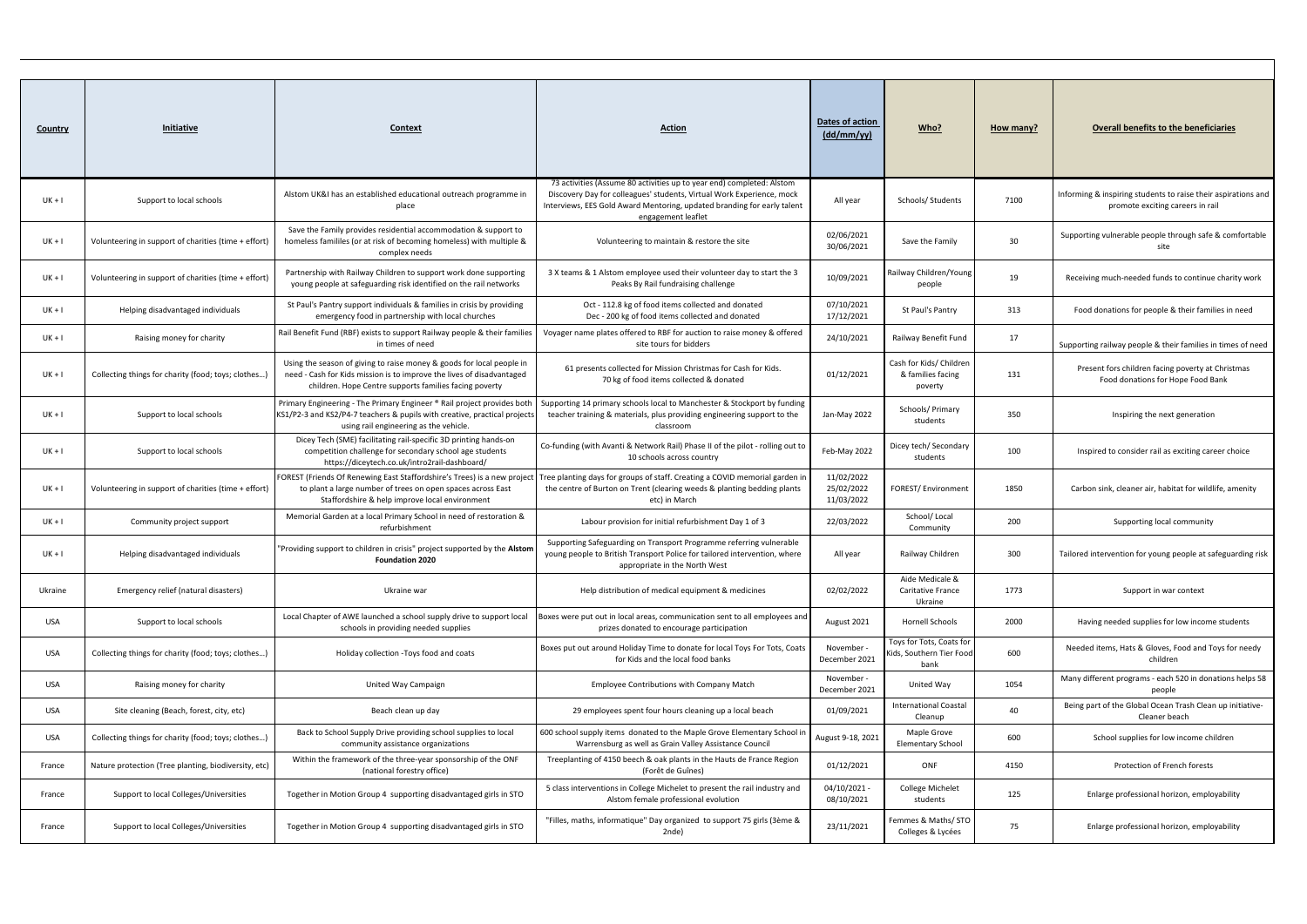| <b>Country</b> | <b>Initiative</b>                                    | Context                                                                                                                                                                                                  | <b>Action</b>                                                                                                                                                                                                                                   | <b>Dates of action</b><br>$\frac{dd/mm / vy)}{}$ | Who?                                                         | How many? | <b>Overall benefits to the beneficiaries</b>                                                      |
|----------------|------------------------------------------------------|----------------------------------------------------------------------------------------------------------------------------------------------------------------------------------------------------------|-------------------------------------------------------------------------------------------------------------------------------------------------------------------------------------------------------------------------------------------------|--------------------------------------------------|--------------------------------------------------------------|-----------|---------------------------------------------------------------------------------------------------|
| $UK + I$       | Support to local schools                             | Alstom UK&I has an established educational outreach programme in<br>place                                                                                                                                | 73 activities (Assume 80 activities up to year end) completed: Alstom<br>Discovery Day for colleagues' students, Virtual Work Experience, mock<br>Interviews, EES Gold Award Mentoring, updated branding for early talent<br>engagement leaflet | All year                                         | Schools/Students                                             | 7100      | Informing & inspiring students to raise their aspirations and<br>promote exciting careers in rail |
| $UK + I$       | Volunteering in support of charities (time + effort) | Save the Family provides residential accommodation & support to<br>homeless famililes (or at risk of becoming homeless) with multiple &<br>complex needs                                                 | Volunteering to maintain & restore the site                                                                                                                                                                                                     | 02/06/2021<br>30/06/2021                         | Save the Family                                              | 30        | Supporting vulnerable people through safe & comfortable<br>site                                   |
| $UK + I$       | Volunteering in support of charities (time + effort) | Partnership with Railway Children to support work done supporting<br>young people at safeguarding risk identified on the rail networks                                                                   | 3 X teams & 1 Alstom employee used their volunteer day to start the 3<br>Peaks By Rail fundraising challenge                                                                                                                                    | 10/09/2021                                       | Railway Children/Young<br>people                             | 19        | Receiving much-needed funds to continue charity work                                              |
| $UK + I$       | Helping disadvantaged individuals                    | St Paul's Pantry support individuals & families in crisis by providing<br>emergency food in partnership with local churches                                                                              | Oct - 112.8 kg of food items collected and donated<br>Dec - 200 kg of food items collected and donated                                                                                                                                          | 07/10/2021<br>17/12/2021                         | St Paul's Pantry                                             | 313       | Food donations for people & their families in need                                                |
| $UK + I$       | Raising money for charity                            | Rail Benefit Fund (RBF) exists to support Railway people & their families<br>in times of need                                                                                                            | Voyager name plates offered to RBF for auction to raise money & offered<br>site tours for bidders                                                                                                                                               | 24/10/2021                                       | Railway Benefit Fund                                         | 17        | Supporting railway people & their families in times of need                                       |
| $UK + I$       | Collecting things for charity (food; toys; clothes)  | Using the season of giving to raise money & goods for local people in<br>need - Cash for Kids mission is to improve the lives of disadvantaged<br>children. Hope Centre supports families facing poverty | 61 presents collected for Mission Christmas for Cash for Kids.<br>70 kg of food items collected & donated                                                                                                                                       | 01/12/2021                                       | Cash for Kids/ Children<br>& families facing<br>poverty      | 131       | Present fors children facing poverty at Christmas<br>Food donations for Hope Food Bank            |
| $UK + I$       | Support to local schools                             | Primary Engineering - The Primary Engineer ® Rail project provides both<br>KS1/P2-3 and KS2/P4-7 teachers & pupils with creative, practical projects<br>using rail engineering as the vehicle.           | Supporting 14 primary schools local to Manchester & Stockport by funding<br>teacher training & materials, plus providing engineering support to the<br>classroom                                                                                | Jan-May 2022                                     | Schools/Primary<br>students                                  | 350       | Inspiring the next generation                                                                     |
| UK + I         | Support to local schools                             | Dicey Tech (SME) facilitating rail-specific 3D printing hands-on<br>competition challenge for secondary school age students<br>https://diceytech.co.uk/intro2rail-dashboard/                             | Co-funding (with Avanti & Network Rail) Phase II of the pilot - rolling out to<br>10 schools across country                                                                                                                                     | Feb-May 2022                                     | Dicey tech/ Secondary<br>students                            | 100       | Inspired to consider rail as exciting career choice                                               |
| $UK + I$       | Volunteering in support of charities (time + effort) | FOREST (Friends Of Renewing East Staffordshire's Trees) is a new project<br>to plant a large number of trees on open spaces across East<br>Staffordshire & help improve local environment                | Tree planting days for groups of staff. Creating a COVID memorial garden ir<br>the centre of Burton on Trent (clearing weeds & planting bedding plants<br>etc) in March                                                                         | 11/02/2022<br>25/02/2022<br>11/03/2022           | <b>FOREST/Environment</b>                                    | 1850      | Carbon sink, cleaner air, habitat for wildlife, amenity                                           |
| $UK + I$       | Community project support                            | Memorial Garden at a local Primary School in need of restoration &<br>refurbishment                                                                                                                      | Labour provision for initial refurbishment Day 1 of 3                                                                                                                                                                                           | 22/03/2022                                       | School/Local<br>Community                                    | 200       | Supporting local community                                                                        |
| $UK + I$       | Helping disadvantaged individuals                    | "Providing support to children in crisis" project supported by the Alstom<br><b>Foundation 2020</b>                                                                                                      | Supporting Safeguarding on Transport Programme referring vulnerable<br>young people to British Transport Police for tailored intervention, where<br>appropriate in the North West                                                               | All year                                         | Railway Children                                             | 300       | Tailored intervention for young people at safeguarding risk                                       |
| Ukraine        | Emergency relief (natural disasters)                 | Ukraine war                                                                                                                                                                                              | Help distribution of medical equipment & medicines                                                                                                                                                                                              | 02/02/2022                                       | Aide Medicale &<br>Caritative France<br>Ukraine              | 1773      | Support in war context                                                                            |
| USA            | Support to local schools                             | Local Chapter of AWE launched a school supply drive to support local<br>schools in providing needed supplies                                                                                             | Boxes were put out in local areas, communication sent to all employees and<br>prizes donated to encourage participation                                                                                                                         | August 2021                                      | Hornell Schools                                              | 2000      | Having needed supplies for low income students                                                    |
| USA            | Collecting things for charity (food; toys; clothes)  | Holiday collection - Toys food and coats                                                                                                                                                                 | Boxes put out around Holiday Time to donate for local Toys For Tots, Coats<br>for Kids and the local food banks                                                                                                                                 | November -<br>December 2021                      | Toys for Tots, Coats for<br>Gids, Southern Tier Food<br>bank | 600       | Needed items, Hats & Gloves, Food and Toys for needy<br>children                                  |
| USA            | Raising money for charity                            | United Way Campaign                                                                                                                                                                                      | Employee Contributions with Company Match                                                                                                                                                                                                       | November -<br>December 2021                      | United Way                                                   | 1054      | Many different programs - each 520 in donations helps 58<br>people                                |
| USA            | Site cleaning (Beach, forest, city, etc)             | Beach clean up day                                                                                                                                                                                       | 29 employees spent four hours cleaning up a local beach                                                                                                                                                                                         | 01/09/2021                                       | <b>International Coastal</b><br>Cleanup                      | 40        | Being part of the Global Ocean Trash Clean up initiative-<br>Cleaner beach                        |
| USA            | Collecting things for charity (food; toys; clothes)  | Back to School Supply Drive providing school supplies to local<br>community assistance organizations                                                                                                     | 600 school supply items donated to the Maple Grove Elementary School in<br>Warrensburg as well as Grain Valley Assistance Council                                                                                                               | August 9-18, 2021                                | Maple Grove<br><b>Elementary School</b>                      | 600       | School supplies for low income children                                                           |
| France         | Nature protection (Tree planting, biodiversity, etc) | Within the framework of the three-year sponsorship of the ONF<br>(national forestry office)                                                                                                              | Treeplanting of 4150 beech & oak plants in the Hauts de France Region<br>(Forêt de Guînes)                                                                                                                                                      | 01/12/2021                                       | ONF                                                          | 4150      | Protection of French forests                                                                      |
| France         | Support to local Colleges/Universities               | Together in Motion Group 4 supporting disadvantaged girls in STO                                                                                                                                         | 5 class interventions in College Michelet to present the rail industry and<br>Alstom female professional evolution                                                                                                                              | 04/10/2021<br>08/10/2021                         | College Michelet<br>students                                 | 125       | Enlarge professional horizon, employability                                                       |
| France         | Support to local Colleges/Universities               | Together in Motion Group 4 supporting disadvantaged girls in STO                                                                                                                                         | "Filles, maths, informatique" Day organized to support 75 girls (3ème &<br>2nde)                                                                                                                                                                | 23/11/2021                                       | Femmes & Maths/ STO<br>Colleges & Lycées                     | 75        | Enlarge professional horizon, employability                                                       |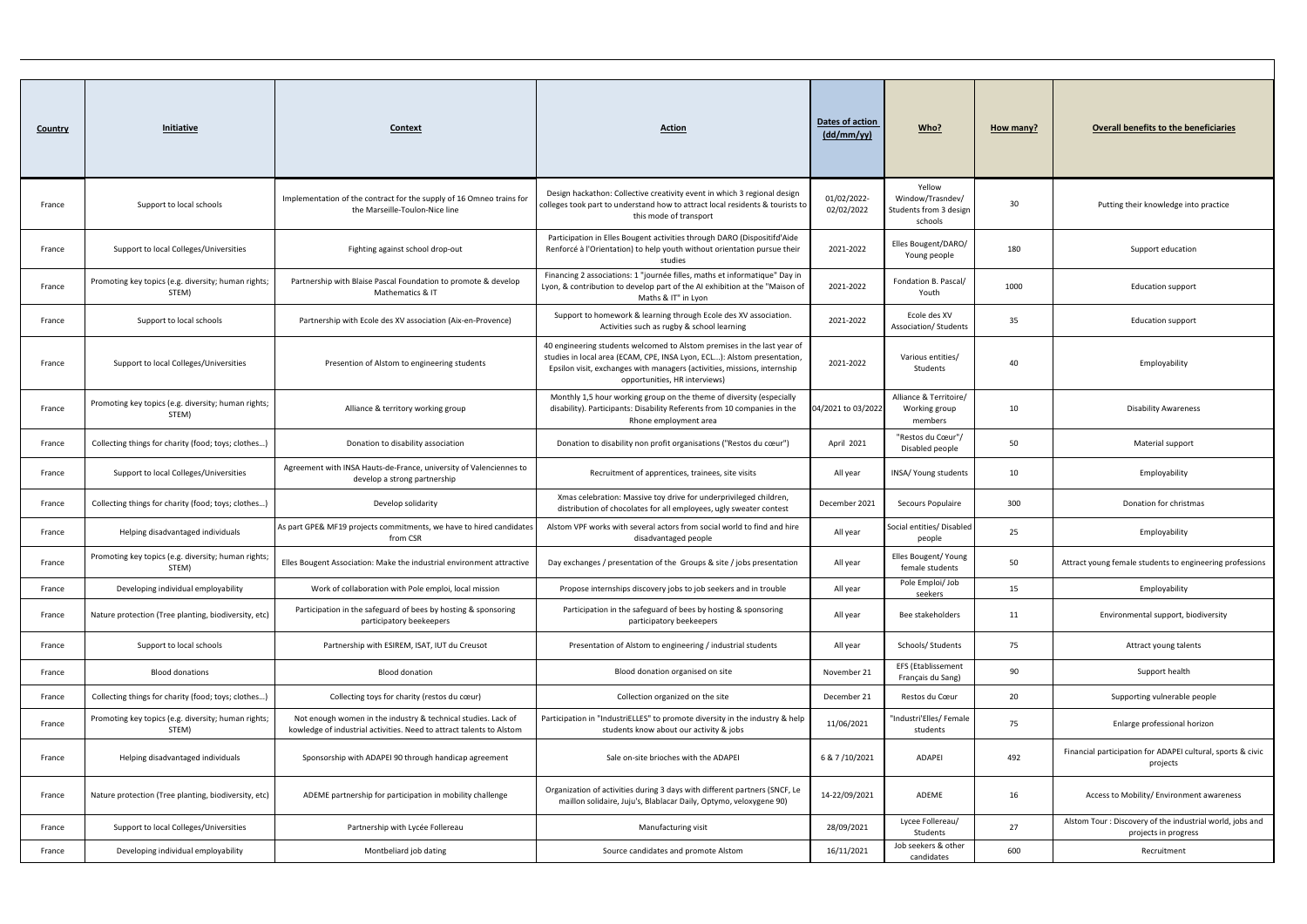| <b>Country</b> | Initiative                                                   | Context                                                                                                                               | <b>Action</b>                                                                                                                                                                                                                                                   | Dates of action<br>(dd/mm/yy) | Who?                                                            | How many? | <b>Overall benefits to the beneficiaries</b>                                      |
|----------------|--------------------------------------------------------------|---------------------------------------------------------------------------------------------------------------------------------------|-----------------------------------------------------------------------------------------------------------------------------------------------------------------------------------------------------------------------------------------------------------------|-------------------------------|-----------------------------------------------------------------|-----------|-----------------------------------------------------------------------------------|
| France         | Support to local schools                                     | Implementation of the contract for the supply of 16 Omneo trains for<br>the Marseille-Toulon-Nice line                                | Design hackathon: Collective creativity event in which 3 regional design<br>colleges took part to understand how to attract local residents & tourists to<br>this mode of transport                                                                             | 01/02/2022-<br>02/02/2022     | Yellow<br>Window/Trasndev/<br>Students from 3 design<br>schools | 30        | Putting their knowledge into practice                                             |
| France         | Support to local Colleges/Universities                       | Fighting against school drop-out                                                                                                      | Participation in Elles Bougent activities through DARO (Dispositifd'Aide<br>Renforcé à l'Orientation) to help youth without orientation pursue their<br>studies                                                                                                 | 2021-2022                     | Elles Bougent/DARO/<br>Young people                             | 180       | Support education                                                                 |
| France         | Promoting key topics (e.g. diversity; human rights;<br>STEM) | Partnership with Blaise Pascal Foundation to promote & develop<br>Mathematics & IT                                                    | Financing 2 associations: 1 "journée filles, maths et informatique" Day in<br>Lyon, & contribution to develop part of the AI exhibition at the "Maison of<br>Maths & IT" in Lyon                                                                                | 2021-2022                     | Fondation B. Pascal/<br>Youth                                   | 1000      | <b>Education support</b>                                                          |
| France         | Support to local schools                                     | Partnership with Ecole des XV association (Aix-en-Provence)                                                                           | Support to homework & learning through Ecole des XV association<br>Activities such as rugby & school learning                                                                                                                                                   | 2021-2022                     | Ecole des XV<br>Association/ Students                           | 35        | <b>Education support</b>                                                          |
| France         | Support to local Colleges/Universities                       | Presention of Alstom to engineering students                                                                                          | 40 engineering students welcomed to Alstom premises in the last year of<br>studies in local area (ECAM, CPE, INSA Lyon, ECL): Alstom presentation,<br>Epsilon visit, exchanges with managers (activities, missions, internship<br>opportunities, HR interviews) | 2021-2022                     | Various entities/<br>Students                                   | 40        | Employability                                                                     |
| France         | Promoting key topics (e.g. diversity; human rights;<br>STEM) | Alliance & territory working group                                                                                                    | Monthly 1,5 hour working group on the theme of diversity (especially<br>disability). Participants: Disability Referents from 10 companies in the<br>Rhone employment area                                                                                       | 04/2021 to 03/2022            | Alliance & Territoire/<br>Working group<br>members              | 10        | <b>Disability Awareness</b>                                                       |
| France         | Collecting things for charity (food; toys; clothes)          | Donation to disability association                                                                                                    | Donation to disability non profit organisations ("Restos du cœur")                                                                                                                                                                                              | April 2021                    | "Restos du Cœur"/<br>Disabled people                            | 50        | Material support                                                                  |
| France         | Support to local Colleges/Universities                       | Agreement with INSA Hauts-de-France, university of Valenciennes to<br>develop a strong partnership                                    | Recruitment of apprentices, trainees, site visits                                                                                                                                                                                                               | All year                      | INSA/ Young students                                            | 10        | Employability                                                                     |
| France         | Collecting things for charity (food; toys; clothes)          | Develop solidarity                                                                                                                    | Xmas celebration: Massive toy drive for underprivileged children,<br>distribution of chocolates for all employees, ugly sweater contest                                                                                                                         | December 2021                 | Secours Populaire                                               | 300       | Donation for christmas                                                            |
| France         | Helping disadvantaged individuals                            | As part GPE& MF19 projects commitments, we have to hired candidates<br>from CSR                                                       | Alstom VPF works with several actors from social world to find and hire<br>disadvantaged people                                                                                                                                                                 | All year                      | Social entities/ Disabled<br>people                             | 25        | Employability                                                                     |
| France         | Promoting key topics (e.g. diversity; human rights;<br>STEM) | Elles Bougent Association: Make the industrial environment attractive                                                                 | Day exchanges / presentation of the Groups & site / jobs presentation                                                                                                                                                                                           | All year                      | Elles Bougent/ Young<br>female students                         | 50        | Attract young female students to engineering professions                          |
| France         | Developing individual employability                          | Work of collaboration with Pole emploi, local mission                                                                                 | Propose internships discovery jobs to job seekers and in trouble                                                                                                                                                                                                | All year                      | Pole Emploi/ Job<br>seekers                                     | 15        | Employability                                                                     |
| France         | Nature protection (Tree planting, biodiversity, etc)         | Participation in the safeguard of bees by hosting & sponsoring<br>participatory beekeepers                                            | Participation in the safeguard of bees by hosting & sponsoring<br>participatory beekeepers                                                                                                                                                                      | All year                      | Bee stakeholders                                                | 11        | Environmental support, biodiversity                                               |
| France         | Support to local schools                                     | Partnership with ESIREM, ISAT, IUT du Creusot                                                                                         | Presentation of Alstom to engineering / industrial students                                                                                                                                                                                                     | All year                      | Schools/ Students                                               | 75        | Attract young talents                                                             |
| France         | <b>Blood donations</b>                                       | <b>Blood donation</b>                                                                                                                 | Blood donation organised on site                                                                                                                                                                                                                                | November 21                   | <b>EFS (Etablissement</b><br>Français du Sang)                  | 90        | Support health                                                                    |
| France         | Collecting things for charity (food; toys; clothes)          | Collecting toys for charity (restos du cœur)                                                                                          | Collection organized on the site                                                                                                                                                                                                                                | December 21                   | Restos du Cœur                                                  | 20        | Supporting vulnerable people                                                      |
| France         | Promoting key topics (e.g. diversity; human rights;<br>STEM) | Not enough women in the industry & technical studies. Lack of<br>kowledge of industrial activities. Need to attract talents to Alstom | Participation in "IndustriELLES" to promote diversity in the industry & help<br>students know about our activity & jobs                                                                                                                                         | 11/06/2021                    | "Industri'Elles/Female<br>students                              | 75        | Enlarge professional horizon                                                      |
| France         | Helping disadvantaged individuals                            | Sponsorship with ADAPEI 90 through handicap agreement                                                                                 | Sale on-site brioches with the ADAPEI                                                                                                                                                                                                                           | 6 & 7/10/2021                 | ADAPEI                                                          | 492       | Financial participation for ADAPEI cultural, sports & civic<br>projects           |
| France         | Nature protection (Tree planting, biodiversity, etc)         | ADEME partnership for participation in mobility challenge                                                                             | Organization of activities during 3 days with different partners (SNCF, Le<br>maillon solidaire, Juju's, Blablacar Daily, Optymo, veloxygene 90)                                                                                                                | 14-22/09/2021                 | ADEME                                                           | 16        | Access to Mobility/ Environment awareness                                         |
| France         | Support to local Colleges/Universities                       | Partnership with Lycée Follereau                                                                                                      | Manufacturing visit                                                                                                                                                                                                                                             | 28/09/2021                    | Lycee Follereau/<br>Students                                    | 27        | Alstom Tour : Discovery of the industrial world, jobs and<br>projects in progress |
| France         | Developing individual employability                          | Montbeliard job dating                                                                                                                | Source candidates and promote Alstom                                                                                                                                                                                                                            | 16/11/2021                    | Job seekers & other<br>candidates                               | 600       | Recruitment                                                                       |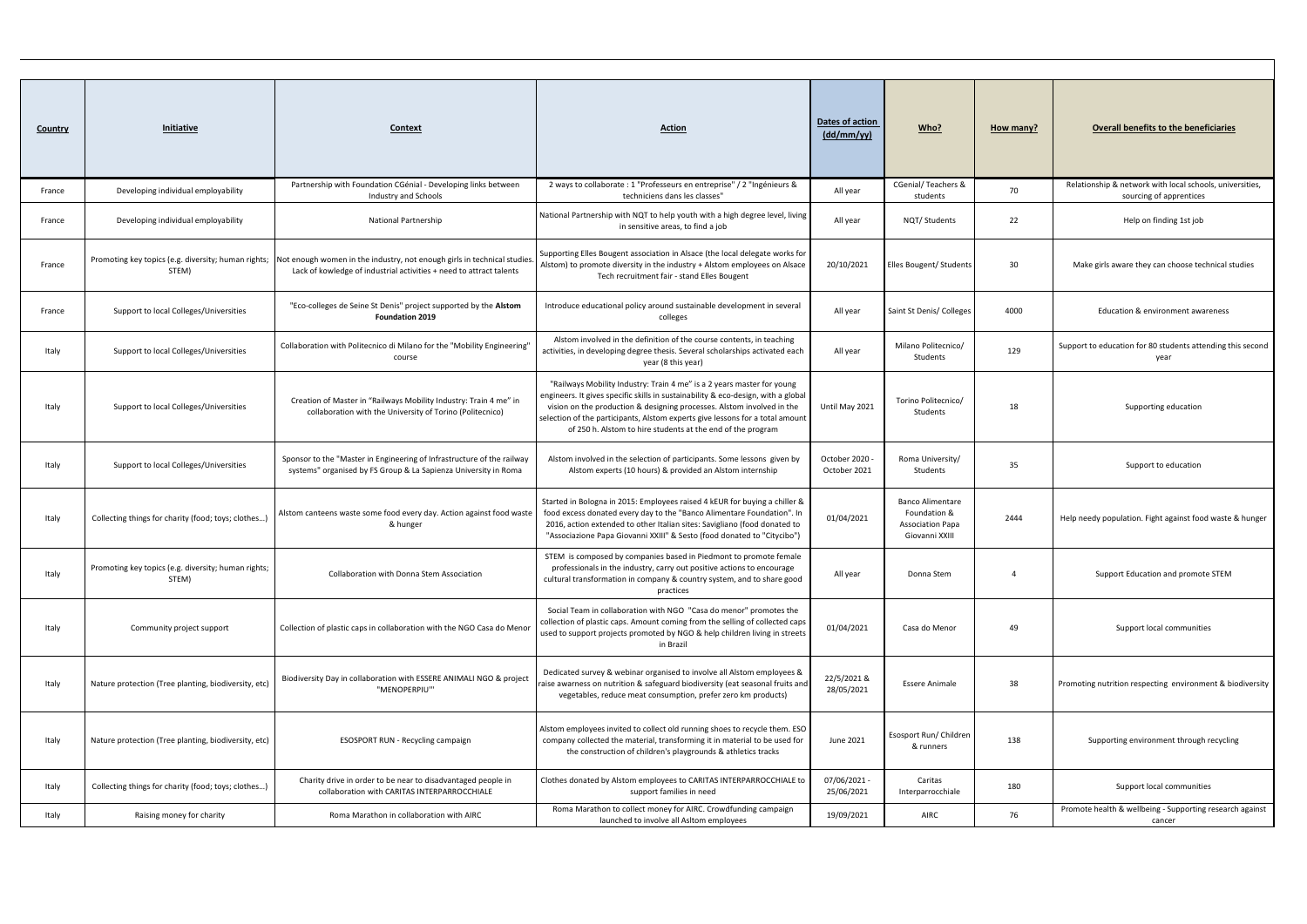| <b>Country</b> | <b>Initiative</b>                                            | Context                                                                                                                                                                                            | <b>Action</b>                                                                                                                                                                                                                                                                                                                                                                         | Dates of action<br>$\frac{dd/mm / vy)}{}$ | Who?                                                                                 | How many?      | <b>Overall benefits to the beneficiaries</b>                                        |
|----------------|--------------------------------------------------------------|----------------------------------------------------------------------------------------------------------------------------------------------------------------------------------------------------|---------------------------------------------------------------------------------------------------------------------------------------------------------------------------------------------------------------------------------------------------------------------------------------------------------------------------------------------------------------------------------------|-------------------------------------------|--------------------------------------------------------------------------------------|----------------|-------------------------------------------------------------------------------------|
| France         | Developing individual employability                          | Partnership with Foundation CGénial - Developing links between<br>Industry and Schools                                                                                                             | 2 ways to collaborate : 1 "Professeurs en entreprise" / 2 "Ingénieurs &<br>techniciens dans les classes"                                                                                                                                                                                                                                                                              | All year                                  | <b>CGenial/Teachers &amp;</b><br>students                                            | 70             | Relationship & network with local schools, universities,<br>sourcing of apprentices |
| France         | Developing individual employability                          | <b>National Partnership</b>                                                                                                                                                                        | National Partnership with NQT to help youth with a high degree level, living<br>in sensitive areas, to find a job                                                                                                                                                                                                                                                                     | All year                                  | NQT/Students                                                                         | 22             | Help on finding 1st job                                                             |
| France         | STEM)                                                        | Promoting key topics (e.g. diversity; human rights; Not enough women in the industry, not enough girls in technical studies<br>Lack of kowledge of industrial activities + need to attract talents | Supporting Elles Bougent association in Alsace (the local delegate works for<br>Alstom) to promote diversity in the industry + Alstom employees on Alsace<br>Tech recruitment fair - stand Elles Bougent                                                                                                                                                                              | 20/10/2021                                | Elles Bougent/ Students                                                              | 30             | Make girls aware they can choose technical studies                                  |
| France         | Support to local Colleges/Universities                       | "Eco-colleges de Seine St Denis" project supported by the Alstom<br><b>Foundation 2019</b>                                                                                                         | Introduce educational policy around sustainable development in several<br>colleges                                                                                                                                                                                                                                                                                                    | All year                                  | Saint St Denis/ Colleges                                                             | 4000           | Education & environment awareness                                                   |
| Italy          | Support to local Colleges/Universities                       | Collaboration with Politecnico di Milano for the "Mobility Engineering"<br>course                                                                                                                  | Alstom involved in the definition of the course contents, in teaching<br>activities, in developing degree thesis. Several scholarships activated each<br>year (8 this year)                                                                                                                                                                                                           | All year                                  | Milano Politecnico/<br>Students                                                      | 129            | Support to education for 80 students attending this second<br>year                  |
| Italy          | Support to local Colleges/Universities                       | Creation of Master in "Railways Mobility Industry: Train 4 me" in<br>collaboration with the University of Torino (Politecnico)                                                                     | "Railways Mobility Industry: Train 4 me" is a 2 years master for young<br>engineers. It gives specific skills in sustainability & eco-design, with a global<br>vision on the production & designing processes. Alstom involved in the<br>selection of the participants, Alstom experts give lessons for a total amount<br>of 250 h. Alstom to hire students at the end of the program | Until May 2021                            | Torino Politecnico/<br>Students                                                      | 18             | Supporting education                                                                |
| Italy          | Support to local Colleges/Universities                       | Sponsor to the "Master in Engineering of Infrastructure of the railway<br>systems" organised by FS Group & La Sapienza University in Roma                                                          | Alstom involved in the selection of participants. Some lessons given by<br>Alstom experts (10 hours) & provided an Alstom internship                                                                                                                                                                                                                                                  | October 2020<br>October 2021              | Roma University/<br>Students                                                         | 35             | Support to education                                                                |
| Italy          | Collecting things for charity (food; toys; clothes)          | Alstom canteens waste some food every day. Action against food waste<br>& hunger                                                                                                                   | Started in Bologna in 2015: Employees raised 4 kEUR for buying a chiller &<br>food excess donated every day to the "Banco Alimentare Foundation". In<br>2016, action extended to other Italian sites: Savigliano (food donated to<br>"Associazione Papa Giovanni XXIII" & Sesto (food donated to "Citycibo")                                                                          | 01/04/2021                                | <b>Banco Alimentare</b><br>Foundation &<br><b>Association Papa</b><br>Giovanni XXIII | 2444           | Help needy population. Fight against food waste & hunger                            |
| Italy          | Promoting key topics (e.g. diversity; human rights;<br>STEM) | Collaboration with Donna Stem Association                                                                                                                                                          | STEM is composed by companies based in Piedmont to promote female<br>professionals in the industry, carry out positive actions to encourage<br>cultural transformation in company & country system, and to share good<br>practices                                                                                                                                                    | All year                                  | Donna Stem                                                                           | $\overline{4}$ | Support Education and promote STEM                                                  |
| Italy          | Community project support                                    | Collection of plastic caps in collaboration with the NGO Casa do Menor                                                                                                                             | Social Team in collaboration with NGO "Casa do menor" promotes the<br>collection of plastic caps. Amount coming from the selling of collected caps<br>used to support projects promoted by NGO & help children living in streets<br>in Brazil                                                                                                                                         | 01/04/2021                                | Casa do Menor                                                                        | 49             | Support local communities                                                           |
| Italy          | Nature protection (Tree planting, biodiversity, etc)         | Biodiversity Day in collaboration with ESSERE ANIMALI NGO & project<br>"MENOPERPIU"                                                                                                                | Dedicated survey & webinar organised to involve all Alstom employees &<br>raise awarness on nutrition & safeguard biodiversity (eat seasonal fruits and<br>vegetables, reduce meat consumption, prefer zero km products)                                                                                                                                                              | 22/5/2021 &<br>28/05/2021                 | <b>Essere Animale</b>                                                                | 38             | Promoting nutrition respecting environment & biodiversity                           |
| Italy          | Nature protection (Tree planting, biodiversity, etc)         | ESOSPORT RUN - Recycling campaign                                                                                                                                                                  | Alstom employees invited to collect old running shoes to recycle them. ESO<br>company collected the material, transforming it in material to be used for<br>the construction of children's playgrounds & athletics tracks                                                                                                                                                             | June 2021                                 | Esosport Run/ Children<br>& runners                                                  | 138            | Supporting environment through recycling                                            |
| Italy          | Collecting things for charity (food; toys; clothes)          | Charity drive in order to be near to disadvantaged people in<br>collaboration with CARITAS INTERPARROCCHIALE                                                                                       | Clothes donated by Alstom employees to CARITAS INTERPARROCCHIALE to<br>support families in need                                                                                                                                                                                                                                                                                       | 07/06/2021 -<br>25/06/2021                | Caritas<br>Interparrocchiale                                                         | 180            | Support local communities                                                           |
| Italy          | Raising money for charity                                    | Roma Marathon in collaboration with AIRC                                                                                                                                                           | Roma Marathon to collect money for AIRC. Crowdfunding campaign<br>launched to involve all Asitom employees                                                                                                                                                                                                                                                                            | 19/09/2021                                | AIRC                                                                                 | 76             | Promote health & wellbeing - Supporting research against<br>cancer                  |